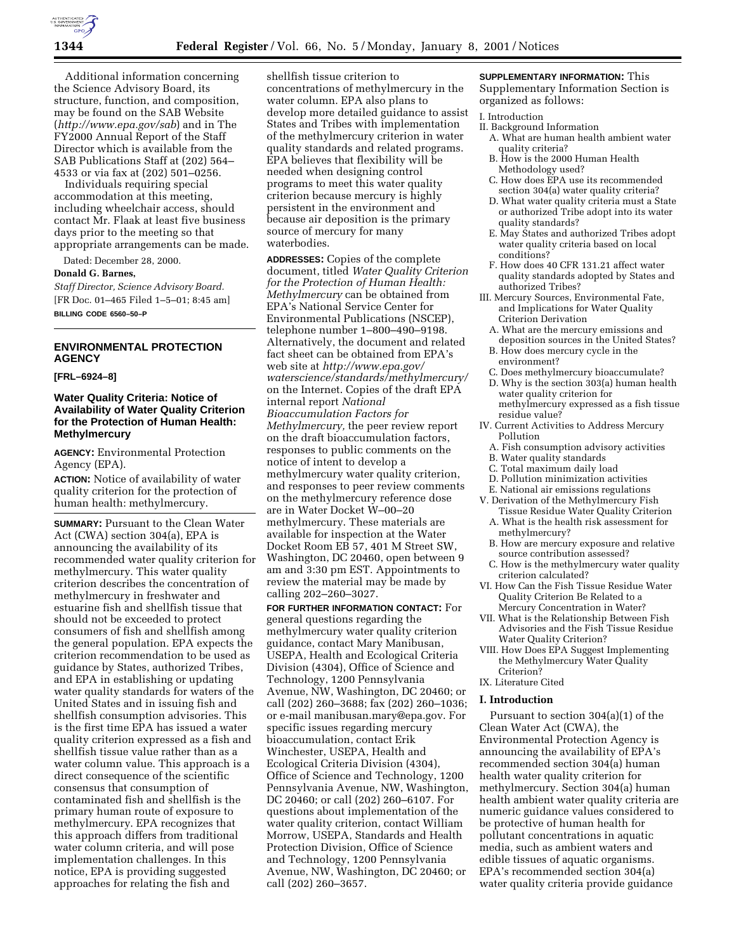

Additional information concerning the Science Advisory Board, its structure, function, and composition, may be found on the SAB Website (*http://www.epa.gov/sab*) and in The FY2000 Annual Report of the Staff Director which is available from the SAB Publications Staff at (202) 564– 4533 or via fax at (202) 501–0256.

Individuals requiring special accommodation at this meeting, including wheelchair access, should contact Mr. Flaak at least five business days prior to the meeting so that appropriate arrangements can be made.

Dated: December 28, 2000.

#### **Donald G. Barnes,**

*Staff Director, Science Advisory Board.* [FR Doc. 01–465 Filed 1–5–01; 8:45 am] **BILLING CODE 6560–50–P**

## **ENVIRONMENTAL PROTECTION AGENCY**

### **[FRL–6924–8]**

## **Water Quality Criteria: Notice of Availability of Water Quality Criterion for the Protection of Human Health: Methylmercury**

**AGENCY:** Environmental Protection Agency (EPA).

**ACTION:** Notice of availability of water quality criterion for the protection of human health: methylmercury.

**SUMMARY:** Pursuant to the Clean Water Act (CWA) section 304(a), EPA is announcing the availability of its recommended water quality criterion for methylmercury. This water quality criterion describes the concentration of methylmercury in freshwater and estuarine fish and shellfish tissue that should not be exceeded to protect consumers of fish and shellfish among the general population. EPA expects the criterion recommendation to be used as guidance by States, authorized Tribes, and EPA in establishing or updating water quality standards for waters of the United States and in issuing fish and shellfish consumption advisories. This is the first time EPA has issued a water quality criterion expressed as a fish and shellfish tissue value rather than as a water column value. This approach is a direct consequence of the scientific consensus that consumption of contaminated fish and shellfish is the primary human route of exposure to methylmercury. EPA recognizes that this approach differs from traditional water column criteria, and will pose implementation challenges. In this notice, EPA is providing suggested approaches for relating the fish and

shellfish tissue criterion to concentrations of methylmercury in the water column. EPA also plans to develop more detailed guidance to assist States and Tribes with implementation of the methylmercury criterion in water quality standards and related programs. EPA believes that flexibility will be needed when designing control programs to meet this water quality criterion because mercury is highly persistent in the environment and because air deposition is the primary source of mercury for many waterbodies.

**ADDRESSES:** Copies of the complete document, titled *Water Quality Criterion for the Protection of Human Health: Methylmercury* can be obtained from EPA's National Service Center for Environmental Publications (NSCEP), telephone number 1–800–490–9198. Alternatively, the document and related fact sheet can be obtained from EPA's web site at *http://www.epa.gov/ waterscience/standards/methylmercury/* on the Internet. Copies of the draft EPA internal report *National Bioaccumulation Factors for Methylmercury,* the peer review report on the draft bioaccumulation factors, responses to public comments on the notice of intent to develop a methylmercury water quality criterion, and responses to peer review comments on the methylmercury reference dose are in Water Docket W–00–20 methylmercury. These materials are available for inspection at the Water Docket Room EB 57, 401 M Street SW, Washington, DC 20460, open between 9 am and 3:30 pm EST. Appointments to review the material may be made by calling 202–260–3027.

**FOR FURTHER INFORMATION CONTACT:** For general questions regarding the methylmercury water quality criterion guidance, contact Mary Manibusan, USEPA, Health and Ecological Criteria Division (4304), Office of Science and Technology, 1200 Pennsylvania Avenue, NW, Washington, DC 20460; or call (202) 260–3688; fax (202) 260–1036; or e-mail manibusan.mary@epa.gov. For specific issues regarding mercury bioaccumulation, contact Erik Winchester, USEPA, Health and Ecological Criteria Division (4304), Office of Science and Technology, 1200 Pennsylvania Avenue, NW, Washington, DC 20460; or call (202) 260–6107. For questions about implementation of the water quality criterion, contact William Morrow, USEPA, Standards and Health Protection Division, Office of Science and Technology, 1200 Pennsylvania Avenue, NW, Washington, DC 20460; or call (202) 260–3657.

## **SUPPLEMENTARY INFORMATION:** This

Supplementary Information Section is organized as follows:

## I. Introduction

- II. Background Information
	- A. What are human health ambient water quality criteria?
	- B. How is the 2000 Human Health Methodology used?
	- C. How does EPA use its recommended section 304(a) water quality criteria?
	- D. What water quality criteria must a State or authorized Tribe adopt into its water quality standards?
	- E. May States and authorized Tribes adopt water quality criteria based on local conditions?
	- F. How does 40 CFR 131.21 affect water quality standards adopted by States and authorized Tribes?
- III. Mercury Sources, Environmental Fate, and Implications for Water Quality Criterion Derivation
	- A. What are the mercury emissions and deposition sources in the United States?
	- B. How does mercury cycle in the environment?
	- C. Does methylmercury bioaccumulate? D. Why is the section 303(a) human health water quality criterion for
	- methylmercury expressed as a fish tissue residue value?
- IV. Current Activities to Address Mercury Pollution
	- A. Fish consumption advisory activities
	- B. Water quality standards
	- C. Total maximum daily load
	- D. Pollution minimization activities
	- E. National air emissions regulations
- V. Derivation of the Methylmercury Fish Tissue Residue Water Quality Criterion
	- A. What is the health risk assessment for methylmercury?
	- B. How are mercury exposure and relative source contribution assessed?
- C. How is the methylmercury water quality criterion calculated?
- VI. How Can the Fish Tissue Residue Water Quality Criterion Be Related to a Mercury Concentration in Water?
- VII. What is the Relationship Between Fish Advisories and the Fish Tissue Residue Water Quality Criterion?
- VIII. How Does EPA Suggest Implementing the Methylmercury Water Quality Criterion?
- IX. Literature Cited

#### **I. Introduction**

Pursuant to section 304(a)(1) of the Clean Water Act (CWA), the Environmental Protection Agency is announcing the availability of EPA's recommended section 304(a) human health water quality criterion for methylmercury. Section 304(a) human health ambient water quality criteria are numeric guidance values considered to be protective of human health for pollutant concentrations in aquatic media, such as ambient waters and edible tissues of aquatic organisms. EPA's recommended section 304(a) water quality criteria provide guidance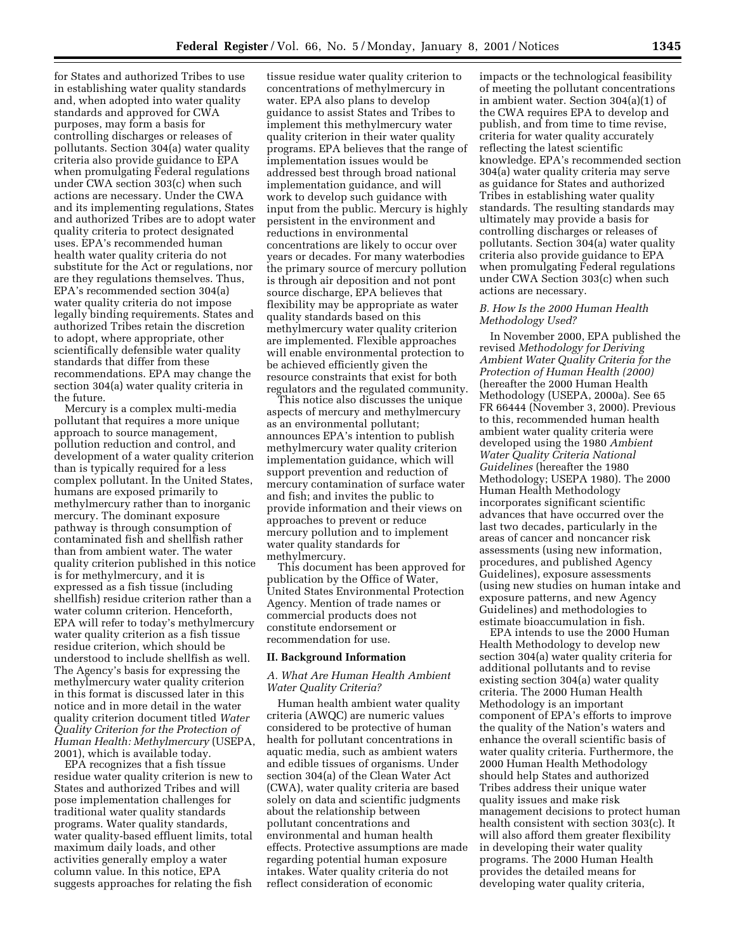for States and authorized Tribes to use in establishing water quality standards and, when adopted into water quality standards and approved for CWA purposes, may form a basis for controlling discharges or releases of pollutants. Section 304(a) water quality criteria also provide guidance to EPA when promulgating Federal regulations under CWA section 303(c) when such actions are necessary. Under the CWA and its implementing regulations, States and authorized Tribes are to adopt water quality criteria to protect designated uses. EPA's recommended human health water quality criteria do not substitute for the Act or regulations, nor are they regulations themselves. Thus, EPA's recommended section 304(a) water quality criteria do not impose legally binding requirements. States and authorized Tribes retain the discretion to adopt, where appropriate, other scientifically defensible water quality standards that differ from these recommendations. EPA may change the section 304(a) water quality criteria in the future.

Mercury is a complex multi-media pollutant that requires a more unique approach to source management, pollution reduction and control, and development of a water quality criterion than is typically required for a less complex pollutant. In the United States, humans are exposed primarily to methylmercury rather than to inorganic mercury. The dominant exposure pathway is through consumption of contaminated fish and shellfish rather than from ambient water. The water quality criterion published in this notice is for methylmercury, and it is expressed as a fish tissue (including shellfish) residue criterion rather than a water column criterion. Henceforth, EPA will refer to today's methylmercury water quality criterion as a fish tissue residue criterion, which should be understood to include shellfish as well. The Agency's basis for expressing the methylmercury water quality criterion in this format is discussed later in this notice and in more detail in the water quality criterion document titled *Water Quality Criterion for the Protection of Human Health: Methylmercury* (USEPA, 2001), which is available today.

EPA recognizes that a fish tissue residue water quality criterion is new to States and authorized Tribes and will pose implementation challenges for traditional water quality standards programs. Water quality standards, water quality-based effluent limits, total maximum daily loads, and other activities generally employ a water column value. In this notice, EPA suggests approaches for relating the fish

tissue residue water quality criterion to concentrations of methylmercury in water. EPA also plans to develop guidance to assist States and Tribes to implement this methylmercury water quality criterion in their water quality programs. EPA believes that the range of implementation issues would be addressed best through broad national implementation guidance, and will work to develop such guidance with input from the public. Mercury is highly persistent in the environment and reductions in environmental concentrations are likely to occur over years or decades. For many waterbodies the primary source of mercury pollution is through air deposition and not pont source discharge, EPA believes that flexibility may be appropriate as water quality standards based on this methylmercury water quality criterion are implemented. Flexible approaches will enable environmental protection to be achieved efficiently given the resource constraints that exist for both regulators and the regulated community.

This notice also discusses the unique aspects of mercury and methylmercury as an environmental pollutant; announces EPA's intention to publish methylmercury water quality criterion implementation guidance, which will support prevention and reduction of mercury contamination of surface water and fish; and invites the public to provide information and their views on approaches to prevent or reduce mercury pollution and to implement water quality standards for methylmercury.

This document has been approved for publication by the Office of Water, United States Environmental Protection Agency. Mention of trade names or commercial products does not constitute endorsement or recommendation for use.

#### **II. Background Information**

### *A. What Are Human Health Ambient Water Quality Criteria?*

Human health ambient water quality criteria (AWQC) are numeric values considered to be protective of human health for pollutant concentrations in aquatic media, such as ambient waters and edible tissues of organisms. Under section 304(a) of the Clean Water Act (CWA), water quality criteria are based solely on data and scientific judgments about the relationship between pollutant concentrations and environmental and human health effects. Protective assumptions are made regarding potential human exposure intakes. Water quality criteria do not reflect consideration of economic

impacts or the technological feasibility of meeting the pollutant concentrations in ambient water. Section 304(a)(1) of the CWA requires EPA to develop and publish, and from time to time revise, criteria for water quality accurately reflecting the latest scientific knowledge. EPA's recommended section 304(a) water quality criteria may serve as guidance for States and authorized Tribes in establishing water quality standards. The resulting standards may ultimately may provide a basis for controlling discharges or releases of pollutants. Section 304(a) water quality criteria also provide guidance to EPA when promulgating Federal regulations under CWA Section 303(c) when such actions are necessary.

### *B. How Is the 2000 Human Health Methodology Used?*

In November 2000, EPA published the revised *Methodology for Deriving Ambient Water Quality Criteria for the Protection of Human Health (2000)* (hereafter the 2000 Human Health Methodology (USEPA, 2000a). See 65 FR 66444 (November 3, 2000). Previous to this, recommended human health ambient water quality criteria were developed using the 1980 *Ambient Water Quality Criteria National Guidelines* (hereafter the 1980 Methodology; USEPA 1980). The 2000 Human Health Methodology incorporates significant scientific advances that have occurred over the last two decades, particularly in the areas of cancer and noncancer risk assessments (using new information, procedures, and published Agency Guidelines), exposure assessments (using new studies on human intake and exposure patterns, and new Agency Guidelines) and methodologies to estimate bioaccumulation in fish.

EPA intends to use the 2000 Human Health Methodology to develop new section 304(a) water quality criteria for additional pollutants and to revise existing section 304(a) water quality criteria. The 2000 Human Health Methodology is an important component of EPA's efforts to improve the quality of the Nation's waters and enhance the overall scientific basis of water quality criteria. Furthermore, the 2000 Human Health Methodology should help States and authorized Tribes address their unique water quality issues and make risk management decisions to protect human health consistent with section 303(c). It will also afford them greater flexibility in developing their water quality programs. The 2000 Human Health provides the detailed means for developing water quality criteria,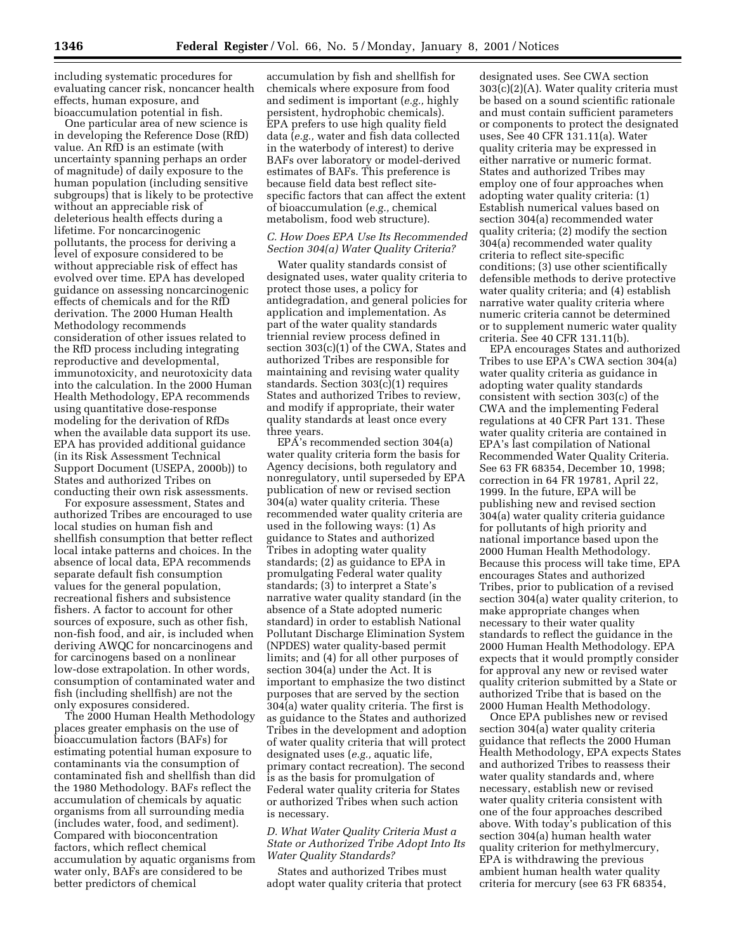including systematic procedures for evaluating cancer risk, noncancer health effects, human exposure, and bioaccumulation potential in fish.

One particular area of new science is in developing the Reference Dose (RfD) value. An RfD is an estimate (with uncertainty spanning perhaps an order of magnitude) of daily exposure to the human population (including sensitive subgroups) that is likely to be protective without an appreciable risk of deleterious health effects during a lifetime. For noncarcinogenic pollutants, the process for deriving a level of exposure considered to be without appreciable risk of effect has evolved over time. EPA has developed guidance on assessing noncarcinogenic effects of chemicals and for the RfD derivation. The 2000 Human Health Methodology recommends consideration of other issues related to the RfD process including integrating reproductive and developmental, immunotoxicity, and neurotoxicity data into the calculation. In the 2000 Human Health Methodology, EPA recommends using quantitative dose-response modeling for the derivation of RfDs when the available data support its use. EPA has provided additional guidance (in its Risk Assessment Technical Support Document (USEPA, 2000b)) to States and authorized Tribes on conducting their own risk assessments.

For exposure assessment, States and authorized Tribes are encouraged to use local studies on human fish and shellfish consumption that better reflect local intake patterns and choices. In the absence of local data, EPA recommends separate default fish consumption values for the general population, recreational fishers and subsistence fishers. A factor to account for other sources of exposure, such as other fish, non-fish food, and air, is included when deriving AWQC for noncarcinogens and for carcinogens based on a nonlinear low-dose extrapolation. In other words, consumption of contaminated water and fish (including shellfish) are not the only exposures considered.

The 2000 Human Health Methodology places greater emphasis on the use of bioaccumulation factors (BAFs) for estimating potential human exposure to contaminants via the consumption of contaminated fish and shellfish than did the 1980 Methodology. BAFs reflect the accumulation of chemicals by aquatic organisms from all surrounding media (includes water, food, and sediment). Compared with bioconcentration factors, which reflect chemical accumulation by aquatic organisms from water only, BAFs are considered to be better predictors of chemical

accumulation by fish and shellfish for chemicals where exposure from food and sediment is important (*e.g.,* highly persistent, hydrophobic chemicals). EPA prefers to use high quality field data (*e.g.,* water and fish data collected in the waterbody of interest) to derive BAFs over laboratory or model-derived estimates of BAFs. This preference is because field data best reflect sitespecific factors that can affect the extent of bioaccumulation (*e.g.,* chemical metabolism, food web structure).

### *C. How Does EPA Use Its Recommended Section 304(a) Water Quality Criteria?*

Water quality standards consist of designated uses, water quality criteria to protect those uses, a policy for antidegradation, and general policies for application and implementation. As part of the water quality standards triennial review process defined in section 303(c)(1) of the CWA, States and authorized Tribes are responsible for maintaining and revising water quality standards. Section 303(c)(1) requires States and authorized Tribes to review, and modify if appropriate, their water quality standards at least once every three years.

EPA's recommended section 304(a) water quality criteria form the basis for Agency decisions, both regulatory and nonregulatory, until superseded by EPA publication of new or revised section 304(a) water quality criteria. These recommended water quality criteria are used in the following ways: (1) As guidance to States and authorized Tribes in adopting water quality standards; (2) as guidance to EPA in promulgating Federal water quality standards; (3) to interpret a State's narrative water quality standard (in the absence of a State adopted numeric standard) in order to establish National Pollutant Discharge Elimination System (NPDES) water quality-based permit limits; and (4) for all other purposes of section 304(a) under the Act. It is important to emphasize the two distinct purposes that are served by the section 304(a) water quality criteria. The first is as guidance to the States and authorized Tribes in the development and adoption of water quality criteria that will protect designated uses (*e.g.,* aquatic life, primary contact recreation). The second is as the basis for promulgation of Federal water quality criteria for States or authorized Tribes when such action is necessary.

### *D. What Water Quality Criteria Must a State or Authorized Tribe Adopt Into Its Water Quality Standards?*

States and authorized Tribes must adopt water quality criteria that protect

designated uses. See CWA section 303(c)(2)(A). Water quality criteria must be based on a sound scientific rationale and must contain sufficient parameters or components to protect the designated uses, See 40 CFR 131.11(a). Water quality criteria may be expressed in either narrative or numeric format. States and authorized Tribes may employ one of four approaches when adopting water quality criteria: (1) Establish numerical values based on section 304(a) recommended water quality criteria; (2) modify the section 304(a) recommended water quality criteria to reflect site-specific conditions; (3) use other scientifically defensible methods to derive protective water quality criteria; and (4) establish narrative water quality criteria where numeric criteria cannot be determined or to supplement numeric water quality criteria. See 40 CFR 131.11(b).

EPA encourages States and authorized Tribes to use EPA's CWA section 304(a) water quality criteria as guidance in adopting water quality standards consistent with section 303(c) of the CWA and the implementing Federal regulations at 40 CFR Part 131. These water quality criteria are contained in EPA's last compilation of National Recommended Water Quality Criteria. See 63 FR 68354, December 10, 1998; correction in 64 FR 19781, April 22, 1999. In the future, EPA will be publishing new and revised section 304(a) water quality criteria guidance for pollutants of high priority and national importance based upon the 2000 Human Health Methodology. Because this process will take time, EPA encourages States and authorized Tribes, prior to publication of a revised section 304(a) water quality criterion, to make appropriate changes when necessary to their water quality standards to reflect the guidance in the 2000 Human Health Methodology. EPA expects that it would promptly consider for approval any new or revised water quality criterion submitted by a State or authorized Tribe that is based on the 2000 Human Health Methodology.

Once EPA publishes new or revised section 304(a) water quality criteria guidance that reflects the 2000 Human Health Methodology, EPA expects States and authorized Tribes to reassess their water quality standards and, where necessary, establish new or revised water quality criteria consistent with one of the four approaches described above. With today's publication of this section 304(a) human health water quality criterion for methylmercury, EPA is withdrawing the previous ambient human health water quality criteria for mercury (see 63 FR 68354,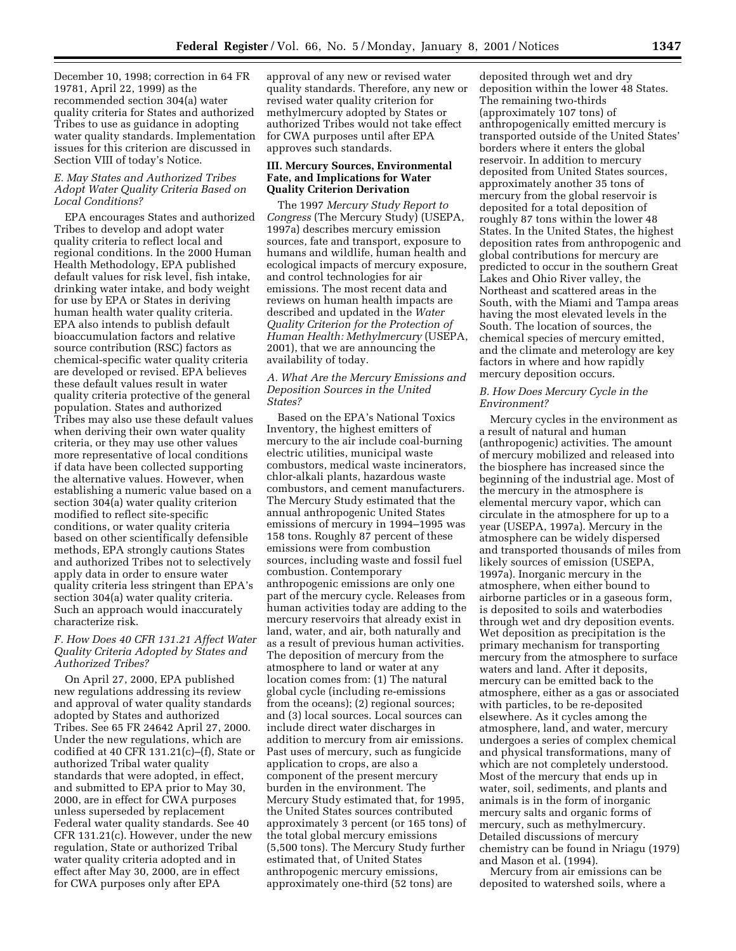December 10, 1998; correction in 64 FR 19781, April 22, 1999) as the recommended section 304(a) water quality criteria for States and authorized Tribes to use as guidance in adopting water quality standards. Implementation issues for this criterion are discussed in Section VIII of today's Notice.

## *E. May States and Authorized Tribes Adopt Water Quality Criteria Based on Local Conditions?*

EPA encourages States and authorized Tribes to develop and adopt water quality criteria to reflect local and regional conditions. In the 2000 Human Health Methodology, EPA published default values for risk level, fish intake, drinking water intake, and body weight for use by EPA or States in deriving human health water quality criteria. EPA also intends to publish default bioaccumulation factors and relative source contribution (RSC) factors as chemical-specific water quality criteria are developed or revised. EPA believes these default values result in water quality criteria protective of the general population. States and authorized Tribes may also use these default values when deriving their own water quality criteria, or they may use other values more representative of local conditions if data have been collected supporting the alternative values. However, when establishing a numeric value based on a section 304(a) water quality criterion modified to reflect site-specific conditions, or water quality criteria based on other scientifically defensible methods, EPA strongly cautions States and authorized Tribes not to selectively apply data in order to ensure water quality criteria less stringent than EPA's section 304(a) water quality criteria. Such an approach would inaccurately characterize risk.

### *F. How Does 40 CFR 131.21 Affect Water Quality Criteria Adopted by States and Authorized Tribes?*

On April 27, 2000, EPA published new regulations addressing its review and approval of water quality standards adopted by States and authorized Tribes. See 65 FR 24642 April 27, 2000. Under the new regulations, which are codified at 40 CFR 131.21(c)–(f), State or authorized Tribal water quality standards that were adopted, in effect, and submitted to EPA prior to May 30, 2000, are in effect for CWA purposes unless superseded by replacement Federal water quality standards. See 40 CFR 131.21(c). However, under the new regulation, State or authorized Tribal water quality criteria adopted and in effect after May 30, 2000, are in effect for CWA purposes only after EPA

approval of any new or revised water quality standards. Therefore, any new or revised water quality criterion for methylmercury adopted by States or authorized Tribes would not take effect for CWA purposes until after EPA approves such standards.

## **III. Mercury Sources, Environmental Fate, and Implications for Water Quality Criterion Derivation**

The 1997 *Mercury Study Report to Congress* (The Mercury Study) (USEPA, 1997a) describes mercury emission sources, fate and transport, exposure to humans and wildlife, human health and ecological impacts of mercury exposure, and control technologies for air emissions. The most recent data and reviews on human health impacts are described and updated in the *Water Quality Criterion for the Protection of Human Health: Methylmercury* (USEPA, 2001), that we are announcing the availability of today.

### *A. What Are the Mercury Emissions and Deposition Sources in the United States?*

Based on the EPA's National Toxics Inventory, the highest emitters of mercury to the air include coal-burning electric utilities, municipal waste combustors, medical waste incinerators, chlor-alkali plants, hazardous waste combustors, and cement manufacturers. The Mercury Study estimated that the annual anthropogenic United States emissions of mercury in 1994–1995 was 158 tons. Roughly 87 percent of these emissions were from combustion sources, including waste and fossil fuel combustion. Contemporary anthropogenic emissions are only one part of the mercury cycle. Releases from human activities today are adding to the mercury reservoirs that already exist in land, water, and air, both naturally and as a result of previous human activities. The deposition of mercury from the atmosphere to land or water at any location comes from: (1) The natural global cycle (including re-emissions from the oceans); (2) regional sources; and (3) local sources. Local sources can include direct water discharges in addition to mercury from air emissions. Past uses of mercury, such as fungicide application to crops, are also a component of the present mercury burden in the environment. The Mercury Study estimated that, for 1995, the United States sources contributed approximately 3 percent (or 165 tons) of the total global mercury emissions (5,500 tons). The Mercury Study further estimated that, of United States anthropogenic mercury emissions, approximately one-third (52 tons) are

deposited through wet and dry deposition within the lower 48 States. The remaining two-thirds (approximately 107 tons) of anthropogenically emitted mercury is transported outside of the United States' borders where it enters the global reservoir. In addition to mercury deposited from United States sources, approximately another 35 tons of mercury from the global reservoir is deposited for a total deposition of roughly 87 tons within the lower 48 States. In the United States, the highest deposition rates from anthropogenic and global contributions for mercury are predicted to occur in the southern Great Lakes and Ohio River valley, the Northeast and scattered areas in the South, with the Miami and Tampa areas having the most elevated levels in the South. The location of sources, the chemical species of mercury emitted, and the climate and meterology are key factors in where and how rapidly mercury deposition occurs.

### *B. How Does Mercury Cycle in the Environment?*

Mercury cycles in the environment as a result of natural and human (anthropogenic) activities. The amount of mercury mobilized and released into the biosphere has increased since the beginning of the industrial age. Most of the mercury in the atmosphere is elemental mercury vapor, which can circulate in the atmosphere for up to a year (USEPA, 1997a). Mercury in the atmosphere can be widely dispersed and transported thousands of miles from likely sources of emission (USEPA, 1997a). Inorganic mercury in the atmosphere, when either bound to airborne particles or in a gaseous form, is deposited to soils and waterbodies through wet and dry deposition events. Wet deposition as precipitation is the primary mechanism for transporting mercury from the atmosphere to surface waters and land. After it deposits, mercury can be emitted back to the atmosphere, either as a gas or associated with particles, to be re-deposited elsewhere. As it cycles among the atmosphere, land, and water, mercury undergoes a series of complex chemical and physical transformations, many of which are not completely understood. Most of the mercury that ends up in water, soil, sediments, and plants and animals is in the form of inorganic mercury salts and organic forms of mercury, such as methylmercury. Detailed discussions of mercury chemistry can be found in Nriagu (1979) and Mason et al. (1994).

Mercury from air emissions can be deposited to watershed soils, where a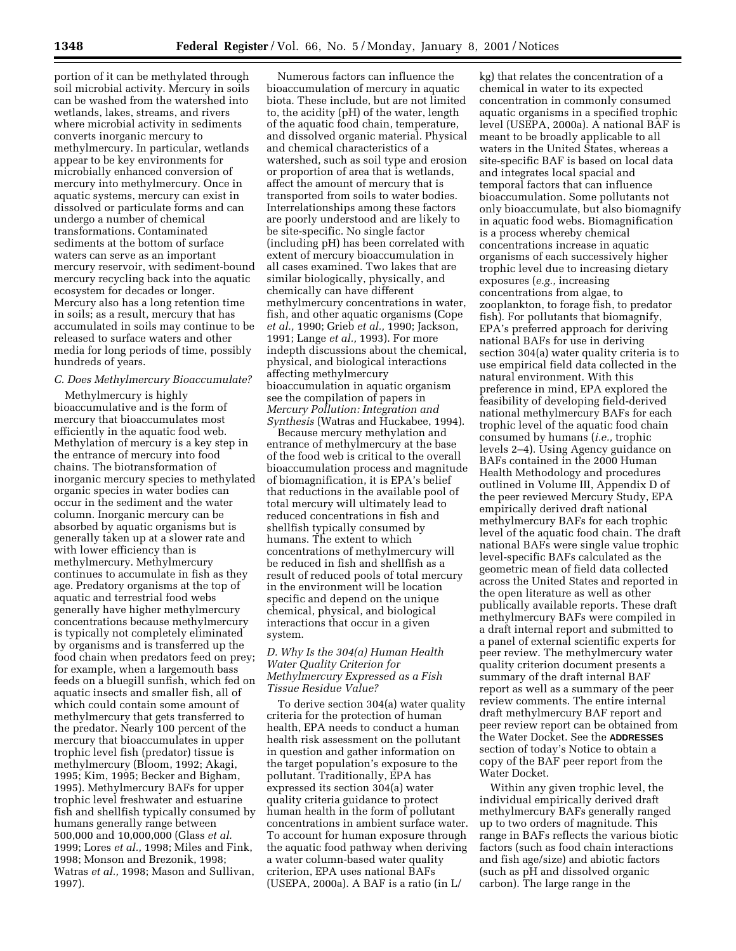portion of it can be methylated through soil microbial activity. Mercury in soils can be washed from the watershed into wetlands, lakes, streams, and rivers where microbial activity in sediments converts inorganic mercury to methylmercury. In particular, wetlands appear to be key environments for microbially enhanced conversion of mercury into methylmercury. Once in aquatic systems, mercury can exist in dissolved or particulate forms and can undergo a number of chemical transformations. Contaminated sediments at the bottom of surface waters can serve as an important mercury reservoir, with sediment-bound mercury recycling back into the aquatic ecosystem for decades or longer. Mercury also has a long retention time in soils; as a result, mercury that has accumulated in soils may continue to be released to surface waters and other media for long periods of time, possibly hundreds of years.

#### *C. Does Methylmercury Bioaccumulate?*

Methylmercury is highly bioaccumulative and is the form of mercury that bioaccumulates most efficiently in the aquatic food web. Methylation of mercury is a key step in the entrance of mercury into food chains. The biotransformation of inorganic mercury species to methylated organic species in water bodies can occur in the sediment and the water column. Inorganic mercury can be absorbed by aquatic organisms but is generally taken up at a slower rate and with lower efficiency than is methylmercury. Methylmercury continues to accumulate in fish as they age. Predatory organisms at the top of aquatic and terrestrial food webs generally have higher methylmercury concentrations because methylmercury is typically not completely eliminated by organisms and is transferred up the food chain when predators feed on prey; for example, when a largemouth bass feeds on a bluegill sunfish, which fed on aquatic insects and smaller fish, all of which could contain some amount of methylmercury that gets transferred to the predator. Nearly 100 percent of the mercury that bioaccumulates in upper trophic level fish (predator) tissue is methylmercury (Bloom, 1992; Akagi, 1995; Kim, 1995; Becker and Bigham, 1995). Methylmercury BAFs for upper trophic level freshwater and estuarine fish and shellfish typically consumed by humans generally range between 500,000 and 10,000,000 (Glass *et al.* 1999; Lores *et al.,* 1998; Miles and Fink, 1998; Monson and Brezonik, 1998; Watras *et al.,* 1998; Mason and Sullivan, 1997).

Numerous factors can influence the bioaccumulation of mercury in aquatic biota. These include, but are not limited to, the acidity (pH) of the water, length of the aquatic food chain, temperature, and dissolved organic material. Physical and chemical characteristics of a watershed, such as soil type and erosion or proportion of area that is wetlands, affect the amount of mercury that is transported from soils to water bodies. Interrelationships among these factors are poorly understood and are likely to be site-specific. No single factor (including pH) has been correlated with extent of mercury bioaccumulation in all cases examined. Two lakes that are similar biologically, physically, and chemically can have different methylmercury concentrations in water, fish, and other aquatic organisms (Cope *et al.,* 1990; Grieb *et al.,* 1990; Jackson, 1991; Lange *et al.,* 1993). For more indepth discussions about the chemical, physical, and biological interactions affecting methylmercury bioaccumulation in aquatic organism see the compilation of papers in *Mercury Pollution: Integration and Synthesis* (Watras and Huckabee, 1994).

Because mercury methylation and entrance of methylmercury at the base of the food web is critical to the overall bioaccumulation process and magnitude of biomagnification, it is EPA's belief that reductions in the available pool of total mercury will ultimately lead to reduced concentrations in fish and shellfish typically consumed by humans. The extent to which concentrations of methylmercury will be reduced in fish and shellfish as a result of reduced pools of total mercury in the environment will be location specific and depend on the unique chemical, physical, and biological interactions that occur in a given system.

### *D. Why Is the 304(a) Human Health Water Quality Criterion for Methylmercury Expressed as a Fish Tissue Residue Value?*

To derive section 304(a) water quality criteria for the protection of human health, EPA needs to conduct a human health risk assessment on the pollutant in question and gather information on the target population's exposure to the pollutant. Traditionally, EPA has expressed its section 304(a) water quality criteria guidance to protect human health in the form of pollutant concentrations in ambient surface water. To account for human exposure through the aquatic food pathway when deriving a water column-based water quality criterion, EPA uses national BAFs (USEPA, 2000a). A BAF is a ratio (in L/

kg) that relates the concentration of a chemical in water to its expected concentration in commonly consumed aquatic organisms in a specified trophic level (USEPA, 2000a). A national BAF is meant to be broadly applicable to all waters in the United States, whereas a site-specific BAF is based on local data and integrates local spacial and temporal factors that can influence bioaccumulation. Some pollutants not only bioaccumulate, but also biomagnify in aquatic food webs. Biomagnification is a process whereby chemical concentrations increase in aquatic organisms of each successively higher trophic level due to increasing dietary exposures (*e.g.,* increasing concentrations from algae, to zooplankton, to forage fish, to predator fish). For pollutants that biomagnify, EPA's preferred approach for deriving national BAFs for use in deriving section 304(a) water quality criteria is to use empirical field data collected in the natural environment. With this preference in mind, EPA explored the feasibility of developing field-derived national methylmercury BAFs for each trophic level of the aquatic food chain consumed by humans (*i.e.,* trophic levels 2–4). Using Agency guidance on BAFs contained in the 2000 Human Health Methodology and procedures outlined in Volume III, Appendix D of the peer reviewed Mercury Study, EPA empirically derived draft national methylmercury BAFs for each trophic level of the aquatic food chain. The draft national BAFs were single value trophic level-specific BAFs calculated as the geometric mean of field data collected across the United States and reported in the open literature as well as other publically available reports. These draft methylmercury BAFs were compiled in a draft internal report and submitted to a panel of external scientific experts for peer review. The methylmercury water quality criterion document presents a summary of the draft internal BAF report as well as a summary of the peer review comments. The entire internal draft methylmercury BAF report and peer review report can be obtained from the Water Docket. See the **ADDRESSES** section of today's Notice to obtain a copy of the BAF peer report from the Water Docket.

Within any given trophic level, the individual empirically derived draft methylmercury BAFs generally ranged up to two orders of magnitude. This range in BAFs reflects the various biotic factors (such as food chain interactions and fish age/size) and abiotic factors (such as pH and dissolved organic carbon). The large range in the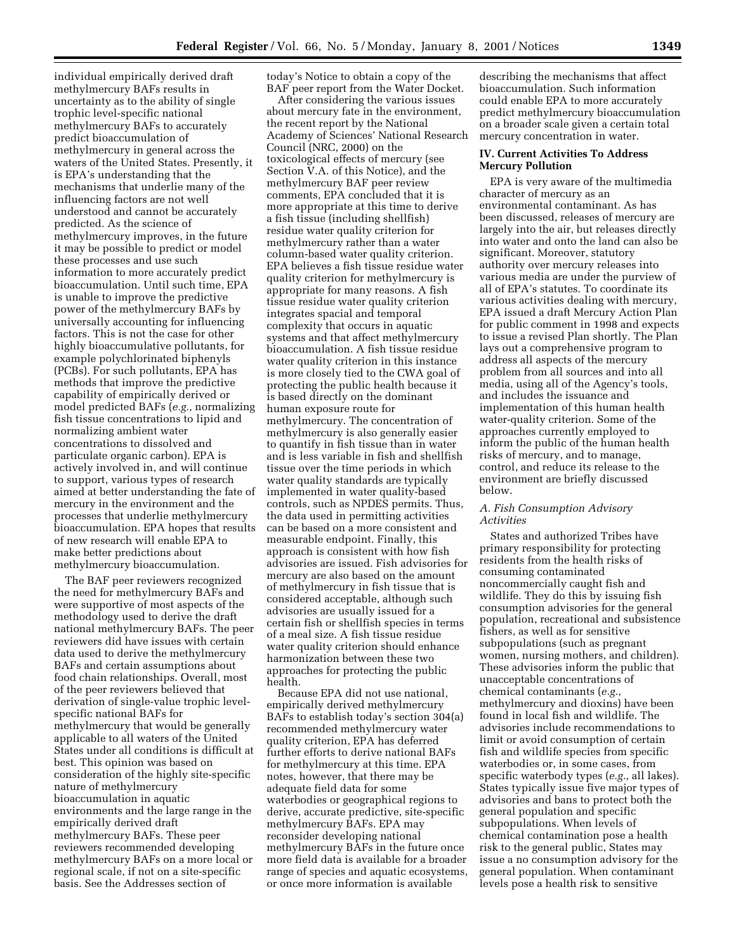individual empirically derived draft methylmercury BAFs results in uncertainty as to the ability of single trophic level-specific national methylmercury BAFs to accurately predict bioaccumulation of methylmercury in general across the waters of the United States. Presently, it is EPA's understanding that the mechanisms that underlie many of the influencing factors are not well understood and cannot be accurately predicted. As the science of methylmercury improves, in the future it may be possible to predict or model these processes and use such information to more accurately predict bioaccumulation. Until such time, EPA is unable to improve the predictive power of the methylmercury BAFs by universally accounting for influencing factors. This is not the case for other highly bioaccumulative pollutants, for example polychlorinated biphenyls (PCBs). For such pollutants, EPA has methods that improve the predictive capability of empirically derived or model predicted BAFs (*e.g.,* normalizing fish tissue concentrations to lipid and normalizing ambient water concentrations to dissolved and particulate organic carbon). EPA is actively involved in, and will continue to support, various types of research aimed at better understanding the fate of mercury in the environment and the processes that underlie methylmercury bioaccumulation. EPA hopes that results of new research will enable EPA to make better predictions about methylmercury bioaccumulation.

The BAF peer reviewers recognized the need for methylmercury BAFs and were supportive of most aspects of the methodology used to derive the draft national methylmercury BAFs. The peer reviewers did have issues with certain data used to derive the methylmercury BAFs and certain assumptions about food chain relationships. Overall, most of the peer reviewers believed that derivation of single-value trophic levelspecific national BAFs for methylmercury that would be generally applicable to all waters of the United States under all conditions is difficult at best. This opinion was based on consideration of the highly site-specific nature of methylmercury bioaccumulation in aquatic environments and the large range in the empirically derived draft methylmercury BAFs. These peer reviewers recommended developing methylmercury BAFs on a more local or regional scale, if not on a site-specific basis. See the Addresses section of

today's Notice to obtain a copy of the BAF peer report from the Water Docket.

After considering the various issues about mercury fate in the environment, the recent report by the National Academy of Sciences' National Research Council (NRC, 2000) on the toxicological effects of mercury (see Section V.A. of this Notice), and the methylmercury BAF peer review comments, EPA concluded that it is more appropriate at this time to derive a fish tissue (including shellfish) residue water quality criterion for methylmercury rather than a water column-based water quality criterion. EPA believes a fish tissue residue water quality criterion for methylmercury is appropriate for many reasons. A fish tissue residue water quality criterion integrates spacial and temporal complexity that occurs in aquatic systems and that affect methylmercury bioaccumulation. A fish tissue residue water quality criterion in this instance is more closely tied to the CWA goal of protecting the public health because it is based directly on the dominant human exposure route for methylmercury. The concentration of methylmercury is also generally easier to quantify in fish tissue than in water and is less variable in fish and shellfish tissue over the time periods in which water quality standards are typically implemented in water quality-based controls, such as NPDES permits. Thus, the data used in permitting activities can be based on a more consistent and measurable endpoint. Finally, this approach is consistent with how fish advisories are issued. Fish advisories for mercury are also based on the amount of methylmercury in fish tissue that is considered acceptable, although such advisories are usually issued for a certain fish or shellfish species in terms of a meal size. A fish tissue residue water quality criterion should enhance harmonization between these two approaches for protecting the public health.

Because EPA did not use national, empirically derived methylmercury BAFs to establish today's section 304(a) recommended methylmercury water quality criterion, EPA has deferred further efforts to derive national BAFs for methylmercury at this time. EPA notes, however, that there may be adequate field data for some waterbodies or geographical regions to derive, accurate predictive, site-specific methylmercury BAFs. EPA may reconsider developing national methylmercury BAFs in the future once more field data is available for a broader range of species and aquatic ecosystems, or once more information is available

describing the mechanisms that affect bioaccumulation. Such information could enable EPA to more accurately predict methylmercury bioaccumulation on a broader scale given a certain total mercury concentration in water.

### **IV. Current Activities To Address Mercury Pollution**

EPA is very aware of the multimedia character of mercury as an environmental contaminant. As has been discussed, releases of mercury are largely into the air, but releases directly into water and onto the land can also be significant. Moreover, statutory authority over mercury releases into various media are under the purview of all of EPA's statutes. To coordinate its various activities dealing with mercury, EPA issued a draft Mercury Action Plan for public comment in 1998 and expects to issue a revised Plan shortly. The Plan lays out a comprehensive program to address all aspects of the mercury problem from all sources and into all media, using all of the Agency's tools, and includes the issuance and implementation of this human health water-quality criterion. Some of the approaches currently employed to inform the public of the human health risks of mercury, and to manage, control, and reduce its release to the environment are briefly discussed below.

### *A. Fish Consumption Advisory Activities*

States and authorized Tribes have primary responsibility for protecting residents from the health risks of consuming contaminated noncommercially caught fish and wildlife. They do this by issuing fish consumption advisories for the general population, recreational and subsistence fishers, as well as for sensitive subpopulations (such as pregnant women, nursing mothers, and children). These advisories inform the public that unacceptable concentrations of chemical contaminants (*e.g.,* methylmercury and dioxins) have been found in local fish and wildlife. The advisories include recommendations to limit or avoid consumption of certain fish and wildlife species from specific waterbodies or, in some cases, from specific waterbody types (*e.g.,* all lakes). States typically issue five major types of advisories and bans to protect both the general population and specific subpopulations. When levels of chemical contamination pose a health risk to the general public, States may issue a no consumption advisory for the general population. When contaminant levels pose a health risk to sensitive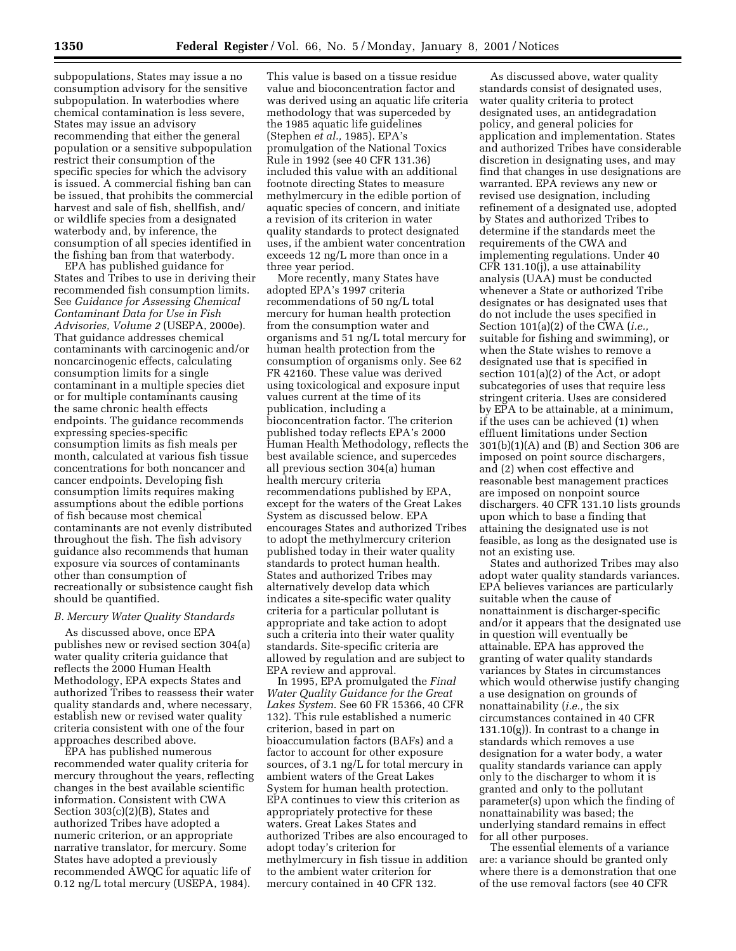subpopulations, States may issue a no consumption advisory for the sensitive subpopulation. In waterbodies where chemical contamination is less severe, States may issue an advisory recommending that either the general population or a sensitive subpopulation restrict their consumption of the specific species for which the advisory is issued. A commercial fishing ban can be issued, that prohibits the commercial harvest and sale of fish, shellfish, and/ or wildlife species from a designated waterbody and, by inference, the consumption of all species identified in the fishing ban from that waterbody.

EPA has published guidance for States and Tribes to use in deriving their recommended fish consumption limits. See *Guidance for Assessing Chemical Contaminant Data for Use in Fish Advisories, Volume 2* (USEPA, 2000e). That guidance addresses chemical contaminants with carcinogenic and/or noncarcinogenic effects, calculating consumption limits for a single contaminant in a multiple species diet or for multiple contaminants causing the same chronic health effects endpoints. The guidance recommends expressing species-specific consumption limits as fish meals per month, calculated at various fish tissue concentrations for both noncancer and cancer endpoints. Developing fish consumption limits requires making assumptions about the edible portions of fish because most chemical contaminants are not evenly distributed throughout the fish. The fish advisory guidance also recommends that human exposure via sources of contaminants other than consumption of recreationally or subsistence caught fish should be quantified.

#### *B. Mercury Water Quality Standards*

As discussed above, once EPA publishes new or revised section 304(a) water quality criteria guidance that reflects the 2000 Human Health Methodology, EPA expects States and authorized Tribes to reassess their water quality standards and, where necessary, establish new or revised water quality criteria consistent with one of the four approaches described above.

EPA has published numerous recommended water quality criteria for mercury throughout the years, reflecting changes in the best available scientific information. Consistent with CWA Section 303(c)(2)(B), States and authorized Tribes have adopted a numeric criterion, or an appropriate narrative translator, for mercury. Some States have adopted a previously recommended AWQC for aquatic life of 0.12 ng/L total mercury (USEPA, 1984).

This value is based on a tissue residue value and bioconcentration factor and was derived using an aquatic life criteria methodology that was superceded by the 1985 aquatic life guidelines (Stephen *et al.,* 1985). EPA's promulgation of the National Toxics Rule in 1992 (see 40 CFR 131.36) included this value with an additional footnote directing States to measure methylmercury in the edible portion of aquatic species of concern, and initiate a revision of its criterion in water quality standards to protect designated uses, if the ambient water concentration exceeds 12 ng/L more than once in a three year period.

More recently, many States have adopted EPA's 1997 criteria recommendations of 50 ng/L total mercury for human health protection from the consumption water and organisms and 51 ng/L total mercury for human health protection from the consumption of organisms only. See 62 FR 42160. These value was derived using toxicological and exposure input values current at the time of its publication, including a bioconcentration factor. The criterion published today reflects EPA's 2000 Human Health Methodology, reflects the best available science, and supercedes all previous section 304(a) human health mercury criteria recommendations published by EPA, except for the waters of the Great Lakes System as discussed below. EPA encourages States and authorized Tribes to adopt the methylmercury criterion published today in their water quality standards to protect human health. States and authorized Tribes may alternatively develop data which indicates a site-specific water quality criteria for a particular pollutant is appropriate and take action to adopt such a criteria into their water quality standards. Site-specific criteria are allowed by regulation and are subject to EPA review and approval.

In 1995, EPA promulgated the *Final Water Quality Guidance for the Great Lakes System*. See 60 FR 15366, 40 CFR 132). This rule established a numeric criterion, based in part on bioaccumulation factors (BAFs) and a factor to account for other exposure sources, of 3.1 ng/L for total mercury in ambient waters of the Great Lakes System for human health protection. EPA continues to view this criterion as appropriately protective for these waters. Great Lakes States and authorized Tribes are also encouraged to adopt today's criterion for methylmercury in fish tissue in addition to the ambient water criterion for mercury contained in 40 CFR 132.

As discussed above, water quality standards consist of designated uses, water quality criteria to protect designated uses, an antidegradation policy, and general policies for application and implementation. States and authorized Tribes have considerable discretion in designating uses, and may find that changes in use designations are warranted. EPA reviews any new or revised use designation, including refinement of a designated use, adopted by States and authorized Tribes to determine if the standards meet the requirements of the CWA and implementing regulations. Under 40 CFR 131.10(j), a use attainability analysis (UAA) must be conducted whenever a State or authorized Tribe designates or has designated uses that do not include the uses specified in Section 101(a)(2) of the CWA (*i.e.,* suitable for fishing and swimming), or when the State wishes to remove a designated use that is specified in section 101(a)(2) of the Act, or adopt subcategories of uses that require less stringent criteria. Uses are considered by EPA to be attainable, at a minimum, if the uses can be achieved (1) when effluent limitations under Section 301(b)(1)(A) and (B) and Section 306 are imposed on point source dischargers, and (2) when cost effective and reasonable best management practices are imposed on nonpoint source dischargers. 40 CFR 131.10 lists grounds upon which to base a finding that attaining the designated use is not feasible, as long as the designated use is not an existing use.

States and authorized Tribes may also adopt water quality standards variances. EPA believes variances are particularly suitable when the cause of nonattainment is discharger-specific and/or it appears that the designated use in question will eventually be attainable. EPA has approved the granting of water quality standards variances by States in circumstances which would otherwise justify changing a use designation on grounds of nonattainability (*i.e.,* the six circumstances contained in 40 CFR  $131.10(g)$ ). In contrast to a change in standards which removes a use designation for a water body, a water quality standards variance can apply only to the discharger to whom it is granted and only to the pollutant parameter(s) upon which the finding of nonattainability was based; the underlying standard remains in effect for all other purposes.

The essential elements of a variance are: a variance should be granted only where there is a demonstration that one of the use removal factors (see 40 CFR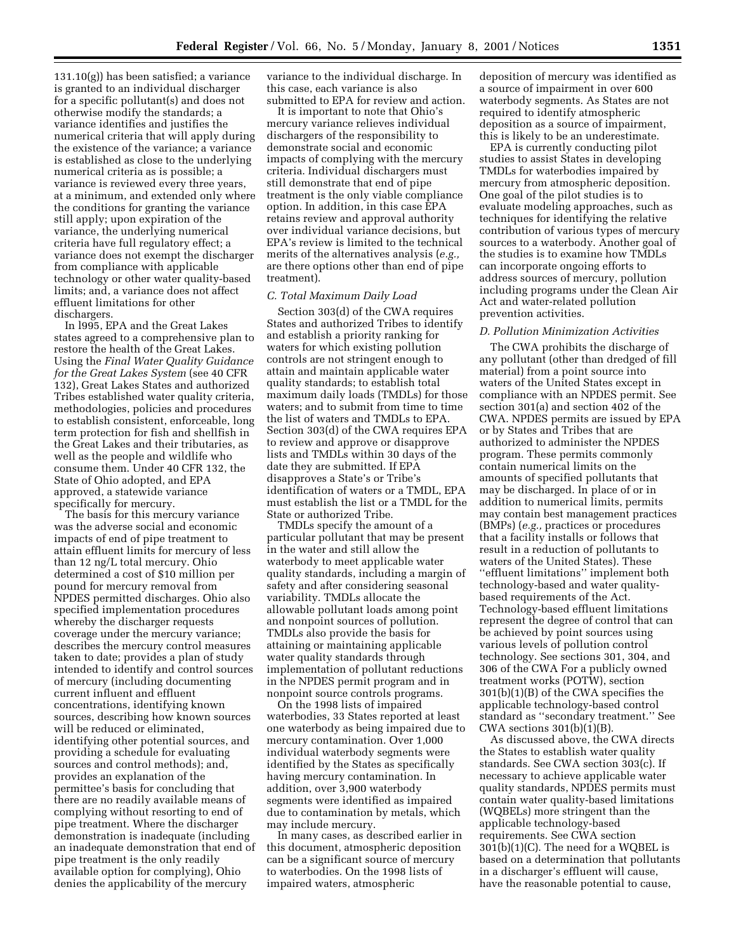131.10(g)) has been satisfied; a variance is granted to an individual discharger for a specific pollutant(s) and does not otherwise modify the standards; a variance identifies and justifies the numerical criteria that will apply during the existence of the variance; a variance is established as close to the underlying numerical criteria as is possible; a variance is reviewed every three years, at a minimum, and extended only where the conditions for granting the variance still apply; upon expiration of the variance, the underlying numerical criteria have full regulatory effect; a variance does not exempt the discharger from compliance with applicable technology or other water quality-based limits; and, a variance does not affect effluent limitations for other dischargers.

In l995, EPA and the Great Lakes states agreed to a comprehensive plan to restore the health of the Great Lakes. Using the *Final Water Quality Guidance for the Great Lakes System* (see 40 CFR 132), Great Lakes States and authorized Tribes established water quality criteria, methodologies, policies and procedures to establish consistent, enforceable, long term protection for fish and shellfish in the Great Lakes and their tributaries, as well as the people and wildlife who consume them. Under 40 CFR 132, the State of Ohio adopted, and EPA approved, a statewide variance specifically for mercury.

The basis for this mercury variance was the adverse social and economic impacts of end of pipe treatment to attain effluent limits for mercury of less than 12 ng/L total mercury. Ohio determined a cost of \$10 million per pound for mercury removal from NPDES permitted discharges. Ohio also specified implementation procedures whereby the discharger requests coverage under the mercury variance; describes the mercury control measures taken to date; provides a plan of study intended to identify and control sources of mercury (including documenting current influent and effluent concentrations, identifying known sources, describing how known sources will be reduced or eliminated, identifying other potential sources, and providing a schedule for evaluating sources and control methods); and, provides an explanation of the permittee's basis for concluding that there are no readily available means of complying without resorting to end of pipe treatment. Where the discharger demonstration is inadequate (including an inadequate demonstration that end of pipe treatment is the only readily available option for complying), Ohio denies the applicability of the mercury

variance to the individual discharge. In this case, each variance is also submitted to EPA for review and action.

It is important to note that Ohio's mercury variance relieves individual dischargers of the responsibility to demonstrate social and economic impacts of complying with the mercury criteria. Individual dischargers must still demonstrate that end of pipe treatment is the only viable compliance option. In addition, in this case EPA retains review and approval authority over individual variance decisions, but EPA's review is limited to the technical merits of the alternatives analysis (*e.g.,* are there options other than end of pipe treatment).

#### *C. Total Maximum Daily Load*

Section 303(d) of the CWA requires States and authorized Tribes to identify and establish a priority ranking for waters for which existing pollution controls are not stringent enough to attain and maintain applicable water quality standards; to establish total maximum daily loads (TMDLs) for those waters; and to submit from time to time the list of waters and TMDLs to EPA. Section 303(d) of the CWA requires EPA to review and approve or disapprove lists and TMDLs within 30 days of the date they are submitted. If EPA disapproves a State's or Tribe's identification of waters or a TMDL, EPA must establish the list or a TMDL for the State or authorized Tribe.

TMDLs specify the amount of a particular pollutant that may be present in the water and still allow the waterbody to meet applicable water quality standards, including a margin of safety and after considering seasonal variability. TMDLs allocate the allowable pollutant loads among point and nonpoint sources of pollution. TMDLs also provide the basis for attaining or maintaining applicable water quality standards through implementation of pollutant reductions in the NPDES permit program and in nonpoint source controls programs.

On the 1998 lists of impaired waterbodies, 33 States reported at least one waterbody as being impaired due to mercury contamination. Over 1,000 individual waterbody segments were identified by the States as specifically having mercury contamination. In addition, over 3,900 waterbody segments were identified as impaired due to contamination by metals, which may include mercury.

In many cases, as described earlier in this document, atmospheric deposition can be a significant source of mercury to waterbodies. On the 1998 lists of impaired waters, atmospheric

deposition of mercury was identified as a source of impairment in over 600 waterbody segments. As States are not required to identify atmospheric deposition as a source of impairment, this is likely to be an underestimate.

EPA is currently conducting pilot studies to assist States in developing TMDLs for waterbodies impaired by mercury from atmospheric deposition. One goal of the pilot studies is to evaluate modeling approaches, such as techniques for identifying the relative contribution of various types of mercury sources to a waterbody. Another goal of the studies is to examine how TMDLs can incorporate ongoing efforts to address sources of mercury, pollution including programs under the Clean Air Act and water-related pollution prevention activities.

#### *D. Pollution Minimization Activities*

The CWA prohibits the discharge of any pollutant (other than dredged of fill material) from a point source into waters of the United States except in compliance with an NPDES permit. See section 301(a) and section 402 of the CWA. NPDES permits are issued by EPA or by States and Tribes that are authorized to administer the NPDES program. These permits commonly contain numerical limits on the amounts of specified pollutants that may be discharged. In place of or in addition to numerical limits, permits may contain best management practices (BMPs) (*e.g.,* practices or procedures that a facility installs or follows that result in a reduction of pollutants to waters of the United States). These ''effluent limitations'' implement both technology-based and water qualitybased requirements of the Act. Technology-based effluent limitations represent the degree of control that can be achieved by point sources using various levels of pollution control technology. See sections 301, 304, and 306 of the CWA For a publicly owned treatment works (POTW), section 301(b)(1)(B) of the CWA specifies the applicable technology-based control standard as ''secondary treatment.'' See CWA sections  $301(b)(1)(B)$ .

As discussed above, the CWA directs the States to establish water quality standards. See CWA section 303(c). If necessary to achieve applicable water quality standards, NPDES permits must contain water quality-based limitations (WQBELs) more stringent than the applicable technology-based requirements. See CWA section 301(b)(1)(C). The need for a WQBEL is based on a determination that pollutants in a discharger's effluent will cause, have the reasonable potential to cause,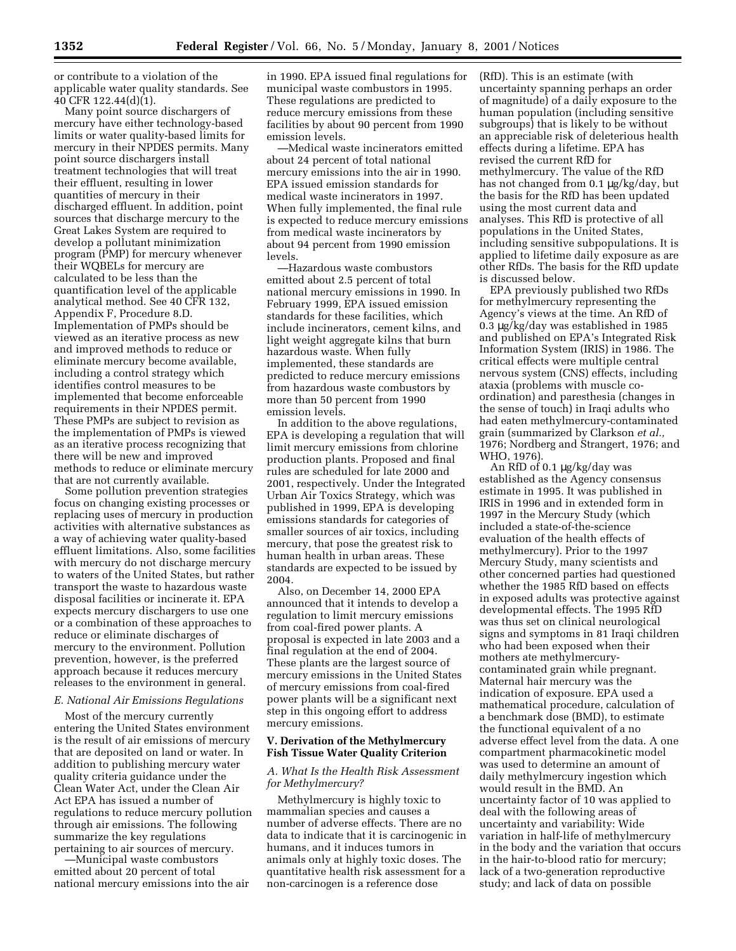or contribute to a violation of the applicable water quality standards. See 40 CFR 122.44(d)(1).

Many point source dischargers of mercury have either technology-based limits or water quality-based limits for mercury in their NPDES permits. Many point source dischargers install treatment technologies that will treat their effluent, resulting in lower quantities of mercury in their discharged effluent. In addition, point sources that discharge mercury to the Great Lakes System are required to develop a pollutant minimization program (PMP) for mercury whenever their WQBELs for mercury are calculated to be less than the quantification level of the applicable analytical method. See 40 CFR 132, Appendix F, Procedure 8.D. Implementation of PMPs should be viewed as an iterative process as new and improved methods to reduce or eliminate mercury become available, including a control strategy which identifies control measures to be implemented that become enforceable requirements in their NPDES permit. These PMPs are subject to revision as the implementation of PMPs is viewed as an iterative process recognizing that there will be new and improved methods to reduce or eliminate mercury that are not currently available.

Some pollution prevention strategies focus on changing existing processes or replacing uses of mercury in production activities with alternative substances as a way of achieving water quality-based effluent limitations. Also, some facilities with mercury do not discharge mercury to waters of the United States, but rather transport the waste to hazardous waste disposal facilities or incinerate it. EPA expects mercury dischargers to use one or a combination of these approaches to reduce or eliminate discharges of mercury to the environment. Pollution prevention, however, is the preferred approach because it reduces mercury releases to the environment in general.

### *E. National Air Emissions Regulations*

Most of the mercury currently entering the United States environment is the result of air emissions of mercury that are deposited on land or water. In addition to publishing mercury water quality criteria guidance under the Clean Water Act, under the Clean Air Act EPA has issued a number of regulations to reduce mercury pollution through air emissions. The following summarize the key regulations pertaining to air sources of mercury.

—Municipal waste combustors emitted about 20 percent of total national mercury emissions into the air in 1990. EPA issued final regulations for municipal waste combustors in 1995. These regulations are predicted to reduce mercury emissions from these facilities by about 90 percent from 1990 emission levels.

—Medical waste incinerators emitted about 24 percent of total national mercury emissions into the air in 1990. EPA issued emission standards for medical waste incinerators in 1997. When fully implemented, the final rule is expected to reduce mercury emissions from medical waste incinerators by about 94 percent from 1990 emission levels.

—Hazardous waste combustors emitted about 2.5 percent of total national mercury emissions in 1990. In February 1999, EPA issued emission standards for these facilities, which include incinerators, cement kilns, and light weight aggregate kilns that burn hazardous waste. When fully implemented, these standards are predicted to reduce mercury emissions from hazardous waste combustors by more than 50 percent from 1990 emission levels.

In addition to the above regulations, EPA is developing a regulation that will limit mercury emissions from chlorine production plants. Proposed and final rules are scheduled for late 2000 and 2001, respectively. Under the Integrated Urban Air Toxics Strategy, which was published in 1999, EPA is developing emissions standards for categories of smaller sources of air toxics, including mercury, that pose the greatest risk to human health in urban areas. These standards are expected to be issued by 2004.

Also, on December 14, 2000 EPA announced that it intends to develop a regulation to limit mercury emissions from coal-fired power plants. A proposal is expected in late 2003 and a final regulation at the end of 2004. These plants are the largest source of mercury emissions in the United States of mercury emissions from coal-fired power plants will be a significant next step in this ongoing effort to address mercury emissions.

## **V. Derivation of the Methylmercury Fish Tissue Water Quality Criterion**

### *A. What Is the Health Risk Assessment for Methylmercury?*

Methylmercury is highly toxic to mammalian species and causes a number of adverse effects. There are no data to indicate that it is carcinogenic in humans, and it induces tumors in animals only at highly toxic doses. The quantitative health risk assessment for a non-carcinogen is a reference dose

(RfD). This is an estimate (with uncertainty spanning perhaps an order of magnitude) of a daily exposure to the human population (including sensitive subgroups) that is likely to be without an appreciable risk of deleterious health effects during a lifetime. EPA has revised the current RfD for methylmercury. The value of the RfD has not changed from 0.1 µg/kg/day, but the basis for the RfD has been updated using the most current data and analyses. This RfD is protective of all populations in the United States, including sensitive subpopulations. It is applied to lifetime daily exposure as are other RfDs. The basis for the RfD update is discussed below.

EPA previously published two RfDs for methylmercury representing the Agency's views at the time. An RfD of 0.3 µg/kg/day was established in 1985 and published on EPA's Integrated Risk Information System (IRIS) in 1986. The critical effects were multiple central nervous system (CNS) effects, including ataxia (problems with muscle coordination) and paresthesia (changes in the sense of touch) in Iraqi adults who had eaten methylmercury-contaminated grain (summarized by Clarkson *et al.,* 1976; Nordberg and Strangert, 1976; and WHO, 1976).

An RfD of 0.1 µg/kg/day was established as the Agency consensus estimate in 1995. It was published in IRIS in 1996 and in extended form in 1997 in the Mercury Study (which included a state-of-the-science evaluation of the health effects of methylmercury). Prior to the 1997 Mercury Study, many scientists and other concerned parties had questioned whether the 1985 RfD based on effects in exposed adults was protective against developmental effects. The 1995 RfD was thus set on clinical neurological signs and symptoms in 81 Iraqi children who had been exposed when their mothers ate methylmercurycontaminated grain while pregnant. Maternal hair mercury was the indication of exposure. EPA used a mathematical procedure, calculation of a benchmark dose (BMD), to estimate the functional equivalent of a no adverse effect level from the data. A one compartment pharmacokinetic model was used to determine an amount of daily methylmercury ingestion which would result in the BMD. An uncertainty factor of 10 was applied to deal with the following areas of uncertainty and variability: Wide variation in half-life of methylmercury in the body and the variation that occurs in the hair-to-blood ratio for mercury; lack of a two-generation reproductive study; and lack of data on possible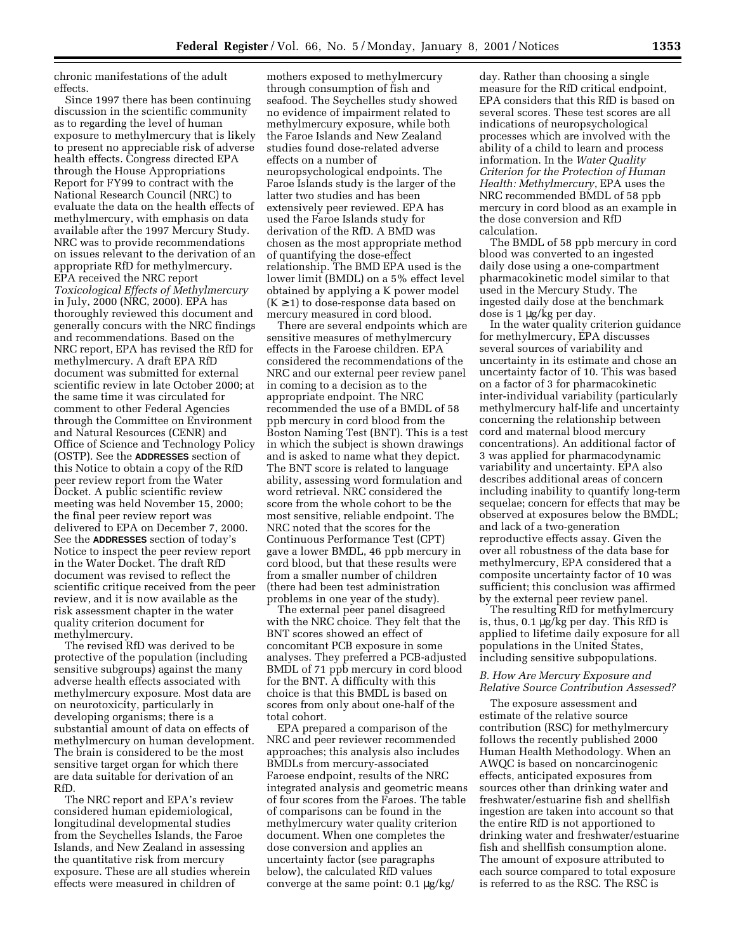chronic manifestations of the adult effects.

Since 1997 there has been continuing discussion in the scientific community as to regarding the level of human exposure to methylmercury that is likely to present no appreciable risk of adverse health effects. Congress directed EPA through the House Appropriations Report for FY99 to contract with the National Research Council (NRC) to evaluate the data on the health effects of methylmercury, with emphasis on data available after the 1997 Mercury Study. NRC was to provide recommendations on issues relevant to the derivation of an appropriate RfD for methylmercury. EPA received the NRC report *Toxicological Effects of Methylmercury* in July, 2000 (NRC, 2000). EPA has thoroughly reviewed this document and generally concurs with the NRC findings and recommendations. Based on the NRC report, EPA has revised the RfD for methylmercury. A draft EPA RfD document was submitted for external scientific review in late October 2000; at the same time it was circulated for comment to other Federal Agencies through the Committee on Environment and Natural Resources (CENR) and Office of Science and Technology Policy (OSTP). See the **ADDRESSES** section of this Notice to obtain a copy of the RfD peer review report from the Water Docket. A public scientific review meeting was held November 15, 2000; the final peer review report was delivered to EPA on December 7, 2000. See the **ADDRESSES** section of today's Notice to inspect the peer review report in the Water Docket. The draft RfD document was revised to reflect the scientific critique received from the peer review, and it is now available as the risk assessment chapter in the water quality criterion document for methylmercury.

The revised RfD was derived to be protective of the population (including sensitive subgroups) against the many adverse health effects associated with methylmercury exposure. Most data are on neurotoxicity, particularly in developing organisms; there is a substantial amount of data on effects of methylmercury on human development. The brain is considered to be the most sensitive target organ for which there are data suitable for derivation of an RfD.

The NRC report and EPA's review considered human epidemiological, longitudinal developmental studies from the Seychelles Islands, the Faroe Islands, and New Zealand in assessing the quantitative risk from mercury exposure. These are all studies wherein effects were measured in children of

mothers exposed to methylmercury through consumption of fish and seafood. The Seychelles study showed no evidence of impairment related to methylmercury exposure, while both the Faroe Islands and New Zealand studies found dose-related adverse effects on a number of neuropsychological endpoints. The Faroe Islands study is the larger of the latter two studies and has been extensively peer reviewed. EPA has used the Faroe Islands study for derivation of the RfD. A BMD was chosen as the most appropriate method of quantifying the dose-effect relationship. The BMD EPA used is the lower limit (BMDL) on a 5% effect level obtained by applying a K power model  $(K \geq 1)$  to dose-response data based on mercury measured in cord blood.

There are several endpoints which are sensitive measures of methylmercury effects in the Faroese children. EPA considered the recommendations of the NRC and our external peer review panel in coming to a decision as to the appropriate endpoint. The NRC recommended the use of a BMDL of 58 ppb mercury in cord blood from the Boston Naming Test (BNT). This is a test in which the subject is shown drawings and is asked to name what they depict. The BNT score is related to language ability, assessing word formulation and word retrieval. NRC considered the score from the whole cohort to be the most sensitive, reliable endpoint. The NRC noted that the scores for the Continuous Performance Test (CPT) gave a lower BMDL, 46 ppb mercury in cord blood, but that these results were from a smaller number of children (there had been test administration problems in one year of the study).

The external peer panel disagreed with the NRC choice. They felt that the BNT scores showed an effect of concomitant PCB exposure in some analyses. They preferred a PCB-adjusted BMDL of 71 ppb mercury in cord blood for the BNT. A difficulty with this choice is that this BMDL is based on scores from only about one-half of the total cohort.

EPA prepared a comparison of the NRC and peer reviewer recommended approaches; this analysis also includes BMDLs from mercury-associated Faroese endpoint, results of the NRC integrated analysis and geometric means of four scores from the Faroes. The table of comparisons can be found in the methylmercury water quality criterion document. When one completes the dose conversion and applies an uncertainty factor (see paragraphs below), the calculated RfD values converge at the same point: 0.1 µg/kg/

day. Rather than choosing a single measure for the RfD critical endpoint, EPA considers that this RfD is based on several scores. These test scores are all indications of neuropsychological processes which are involved with the ability of a child to learn and process information. In the *Water Quality Criterion for the Protection of Human Health: Methylmercury*, EPA uses the NRC recommended BMDL of 58 ppb mercury in cord blood as an example in the dose conversion and RfD calculation.

The BMDL of 58 ppb mercury in cord blood was converted to an ingested daily dose using a one-compartment pharmacokinetic model similar to that used in the Mercury Study. The ingested daily dose at the benchmark dose is 1 µg/kg per day.

In the water quality criterion guidance for methylmercury, EPA discusses several sources of variability and uncertainty in its estimate and chose an uncertainty factor of 10. This was based on a factor of 3 for pharmacokinetic inter-individual variability (particularly methylmercury half-life and uncertainty concerning the relationship between cord and maternal blood mercury concentrations). An additional factor of 3 was applied for pharmacodynamic variability and uncertainty. EPA also describes additional areas of concern including inability to quantify long-term sequelae; concern for effects that may be observed at exposures below the BMDL; and lack of a two-generation reproductive effects assay. Given the over all robustness of the data base for methylmercury, EPA considered that a composite uncertainty factor of 10 was sufficient; this conclusion was affirmed by the external peer review panel.

The resulting RfD for methylmercury is, thus, 0.1 µg/kg per day. This RfD is applied to lifetime daily exposure for all populations in the United States, including sensitive subpopulations.

## *B. How Are Mercury Exposure and Relative Source Contribution Assessed?*

The exposure assessment and estimate of the relative source contribution (RSC) for methylmercury follows the recently published 2000 Human Health Methodology. When an AWQC is based on noncarcinogenic effects, anticipated exposures from sources other than drinking water and freshwater/estuarine fish and shellfish ingestion are taken into account so that the entire RfD is not apportioned to drinking water and freshwater/estuarine fish and shellfish consumption alone. The amount of exposure attributed to each source compared to total exposure is referred to as the RSC. The RSC is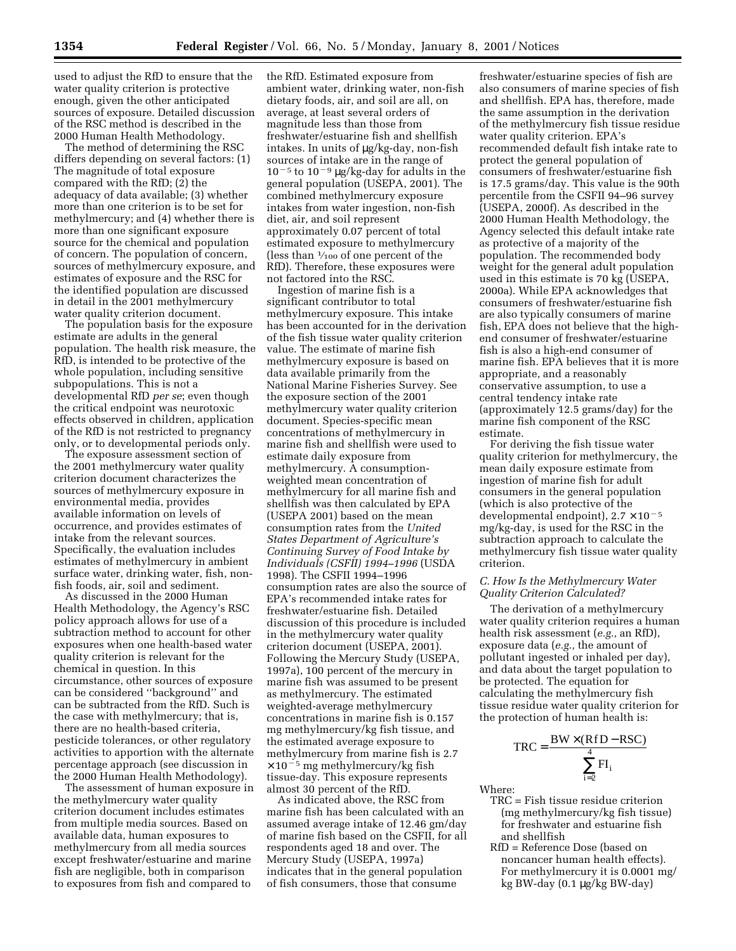used to adjust the RfD to ensure that the water quality criterion is protective enough, given the other anticipated sources of exposure. Detailed discussion of the RSC method is described in the 2000 Human Health Methodology.

The method of determining the RSC differs depending on several factors: (1) The magnitude of total exposure compared with the RfD; (2) the adequacy of data available; (3) whether more than one criterion is to be set for methylmercury; and (4) whether there is more than one significant exposure source for the chemical and population of concern. The population of concern, sources of methylmercury exposure, and estimates of exposure and the RSC for the identified population are discussed in detail in the 2001 methylmercury water quality criterion document.

The population basis for the exposure estimate are adults in the general population. The health risk measure, the RfD, is intended to be protective of the whole population, including sensitive subpopulations. This is not a developmental RfD *per se*; even though the critical endpoint was neurotoxic effects observed in children, application of the RfD is not restricted to pregnancy only, or to developmental periods only.

The exposure assessment section of the 2001 methylmercury water quality criterion document characterizes the sources of methylmercury exposure in environmental media, provides available information on levels of occurrence, and provides estimates of intake from the relevant sources. Specifically, the evaluation includes estimates of methylmercury in ambient surface water, drinking water, fish, nonfish foods, air, soil and sediment.

As discussed in the 2000 Human Health Methodology, the Agency's RSC policy approach allows for use of a subtraction method to account for other exposures when one health-based water quality criterion is relevant for the chemical in question. In this circumstance, other sources of exposure can be considered ''background'' and can be subtracted from the RfD. Such is the case with methylmercury; that is, there are no health-based criteria, pesticide tolerances, or other regulatory activities to apportion with the alternate percentage approach (see discussion in the 2000 Human Health Methodology).

The assessment of human exposure in the methylmercury water quality criterion document includes estimates from multiple media sources. Based on available data, human exposures to methylmercury from all media sources except freshwater/estuarine and marine fish are negligible, both in comparison to exposures from fish and compared to

the RfD. Estimated exposure from ambient water, drinking water, non-fish dietary foods, air, and soil are all, on average, at least several orders of magnitude less than those from freshwater/estuarine fish and shellfish intakes. In units of µg/kg-day, non-fish sources of intake are in the range of  $10^{-5}$  to  $10^{-9}$  µg/kg-day for adults in the general population (USEPA, 2001). The combined methylmercury exposure intakes from water ingestion, non-fish diet, air, and soil represent approximately 0.07 percent of total estimated exposure to methylmercury (less than  $\frac{1}{100}$  of one percent of the RfD). Therefore, these exposures were not factored into the RSC.

Ingestion of marine fish is a significant contributor to total methylmercury exposure. This intake has been accounted for in the derivation of the fish tissue water quality criterion value. The estimate of marine fish methylmercury exposure is based on data available primarily from the National Marine Fisheries Survey. See the exposure section of the 2001 methylmercury water quality criterion document. Species-specific mean concentrations of methylmercury in marine fish and shellfish were used to estimate daily exposure from methylmercury. A consumptionweighted mean concentration of methylmercury for all marine fish and shellfish was then calculated by EPA (USEPA 2001) based on the mean consumption rates from the *United States Department of Agriculture's Continuing Survey of Food Intake by Individuals (CSFII) 1994–1996* (USDA 1998). The CSFII 1994–1996 consumption rates are also the source of EPA's recommended intake rates for freshwater/estuarine fish. Detailed discussion of this procedure is included in the methylmercury water quality criterion document (USEPA, 2001). Following the Mercury Study (USEPA, 1997a), 100 percent of the mercury in marine fish was assumed to be present as methylmercury. The estimated weighted-average methylmercury concentrations in marine fish is 0.157 mg methylmercury/kg fish tissue, and the estimated average exposure to methylmercury from marine fish is 2.7  $\times$  10<sup>-5</sup> mg methylmercury/kg fish tissue-day. This exposure represents almost 30 percent of the RfD.

As indicated above, the RSC from marine fish has been calculated with an assumed average intake of 12.46 gm/day of marine fish based on the CSFII, for all respondents aged 18 and over. The Mercury Study (USEPA, 1997a) indicates that in the general population of fish consumers, those that consume

freshwater/estuarine species of fish are also consumers of marine species of fish and shellfish. EPA has, therefore, made the same assumption in the derivation of the methylmercury fish tissue residue water quality criterion. EPA's recommended default fish intake rate to protect the general population of consumers of freshwater/estuarine fish is 17.5 grams/day. This value is the 90th percentile from the CSFII 94–96 survey (USEPA, 2000f). As described in the 2000 Human Health Methodology, the Agency selected this default intake rate as protective of a majority of the population. The recommended body weight for the general adult population used in this estimate is 70 kg (USEPA, 2000a). While EPA acknowledges that consumers of freshwater/estuarine fish are also typically consumers of marine fish, EPA does not believe that the highend consumer of freshwater/estuarine fish is also a high-end consumer of marine fish. EPA believes that it is more appropriate, and a reasonably conservative assumption, to use a central tendency intake rate (approximately 12.5 grams/day) for the marine fish component of the RSC estimate.

For deriving the fish tissue water quality criterion for methylmercury, the mean daily exposure estimate from ingestion of marine fish for adult consumers in the general population (which is also protective of the developmental endpoint),  $2.7 \times 10^{-5}$ mg/kg-day, is used for the RSC in the subtraction approach to calculate the methylmercury fish tissue water quality criterion.

### *C. How Is the Methylmercury Water Quality Criterion Calculated?*

The derivation of a methylmercury water quality criterion requires a human health risk assessment (*e.g.,* an RfD), exposure data (*e.g.,* the amount of pollutant ingested or inhaled per day), and data about the target population to be protected. The equation for calculating the methylmercury fish tissue residue water quality criterion for the protection of human health is:

$$
TRC = \frac{BW \times (RfD - RSC)}{\sum_{i=2}^{4}FI_i}
$$

Where:

- TRC = Fish tissue residue criterion (mg methylmercury/kg fish tissue) for freshwater and estuarine fish and shellfish
- RfD = Reference Dose (based on noncancer human health effects). For methylmercury it is 0.0001 mg/ kg BW-day (0.1 µg/kg BW-day)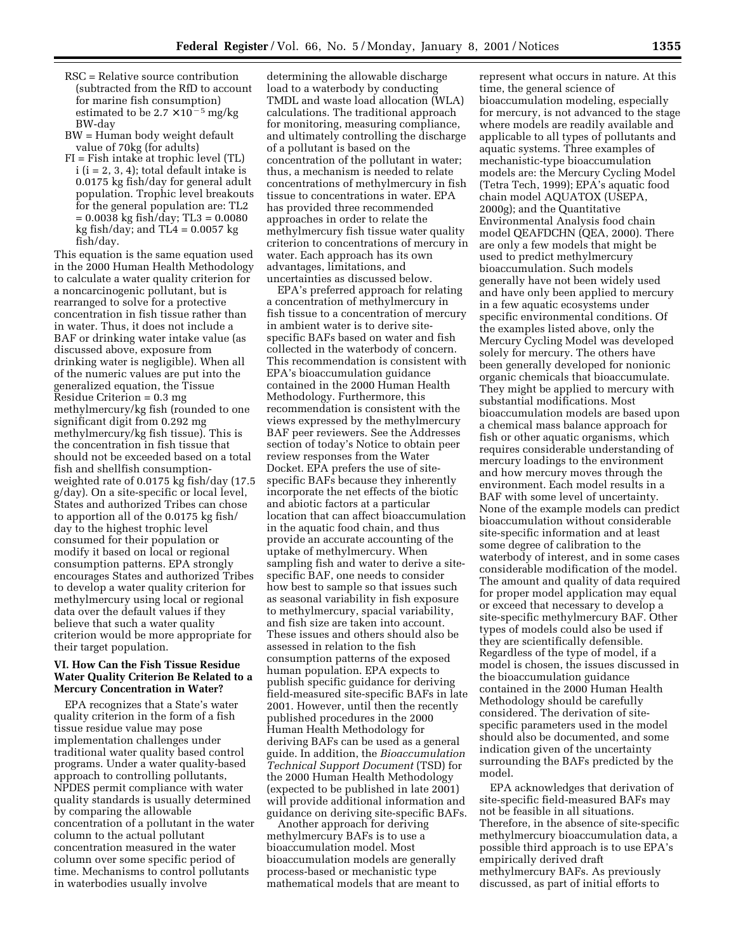- RSC = Relative source contribution (subtracted from the RfD to account for marine fish consumption) estimated to be  $2.7 \times 10^{-5}$  mg/kg BW-day
- BW = Human body weight default value of 70kg (for adults)
- FI = Fish intake at trophic level (TL)  $i$  ( $i = 2, 3, 4$ ); total default intake is 0.0175 kg fish/day for general adult population. Trophic level breakouts for the general population are: TL2  $= 0.0038$  kg fish/day; TL3  $= 0.0080$ kg fish/day; and  $TL4 = 0.0057$  kg fish/day.

This equation is the same equation used in the 2000 Human Health Methodology to calculate a water quality criterion for a noncarcinogenic pollutant, but is rearranged to solve for a protective concentration in fish tissue rather than in water. Thus, it does not include a BAF or drinking water intake value (as discussed above, exposure from drinking water is negligible). When all of the numeric values are put into the generalized equation, the Tissue Residue Criterion = 0.3 mg methylmercury/kg fish (rounded to one significant digit from 0.292 mg methylmercury/kg fish tissue). This is the concentration in fish tissue that should not be exceeded based on a total fish and shellfish consumptionweighted rate of 0.0175 kg fish/day (17.5 g/day). On a site-specific or local level, States and authorized Tribes can chose to apportion all of the 0.0175 kg fish/ day to the highest trophic level consumed for their population or modify it based on local or regional consumption patterns. EPA strongly encourages States and authorized Tribes to develop a water quality criterion for methylmercury using local or regional data over the default values if they believe that such a water quality criterion would be more appropriate for their target population.

### **VI. How Can the Fish Tissue Residue Water Quality Criterion Be Related to a Mercury Concentration in Water?**

EPA recognizes that a State's water quality criterion in the form of a fish tissue residue value may pose implementation challenges under traditional water quality based control programs. Under a water quality-based approach to controlling pollutants, NPDES permit compliance with water quality standards is usually determined by comparing the allowable concentration of a pollutant in the water column to the actual pollutant concentration measured in the water column over some specific period of time. Mechanisms to control pollutants in waterbodies usually involve

determining the allowable discharge load to a waterbody by conducting TMDL and waste load allocation (WLA) calculations. The traditional approach for monitoring, measuring compliance, and ultimately controlling the discharge of a pollutant is based on the concentration of the pollutant in water; thus, a mechanism is needed to relate concentrations of methylmercury in fish tissue to concentrations in water. EPA has provided three recommended approaches in order to relate the methylmercury fish tissue water quality criterion to concentrations of mercury in water. Each approach has its own advantages, limitations, and uncertainties as discussed below.

EPA's preferred approach for relating a concentration of methylmercury in fish tissue to a concentration of mercury in ambient water is to derive sitespecific BAFs based on water and fish collected in the waterbody of concern. This recommendation is consistent with EPA's bioaccumulation guidance contained in the 2000 Human Health Methodology. Furthermore, this recommendation is consistent with the views expressed by the methylmercury BAF peer reviewers. See the Addresses section of today's Notice to obtain peer review responses from the Water Docket. EPA prefers the use of sitespecific BAFs because they inherently incorporate the net effects of the biotic and abiotic factors at a particular location that can affect bioaccumulation in the aquatic food chain, and thus provide an accurate accounting of the uptake of methylmercury. When sampling fish and water to derive a sitespecific BAF, one needs to consider how best to sample so that issues such as seasonal variability in fish exposure to methylmercury, spacial variability, and fish size are taken into account. These issues and others should also be assessed in relation to the fish consumption patterns of the exposed human population. EPA expects to publish specific guidance for deriving field-measured site-specific BAFs in late 2001. However, until then the recently published procedures in the 2000 Human Health Methodology for deriving BAFs can be used as a general guide. In addition, the *Bioaccumulation Technical Support Document* (TSD) for the 2000 Human Health Methodology (expected to be published in late 2001) will provide additional information and guidance on deriving site-specific BAFs.

Another approach for deriving methylmercury BAFs is to use a bioaccumulation model. Most bioaccumulation models are generally process-based or mechanistic type mathematical models that are meant to

represent what occurs in nature. At this time, the general science of bioaccumulation modeling, especially for mercury, is not advanced to the stage where models are readily available and applicable to all types of pollutants and aquatic systems. Three examples of mechanistic-type bioaccumulation models are: the Mercury Cycling Model (Tetra Tech, 1999); EPA's aquatic food chain model AQUATOX (USEPA, 2000g); and the Quantitative Environmental Analysis food chain model QEAFDCHN (QEA, 2000). There are only a few models that might be used to predict methylmercury bioaccumulation. Such models generally have not been widely used and have only been applied to mercury in a few aquatic ecosystems under specific environmental conditions. Of the examples listed above, only the Mercury Cycling Model was developed solely for mercury. The others have been generally developed for nonionic organic chemicals that bioaccumulate. They might be applied to mercury with substantial modifications. Most bioaccumulation models are based upon a chemical mass balance approach for fish or other aquatic organisms, which requires considerable understanding of mercury loadings to the environment and how mercury moves through the environment. Each model results in a BAF with some level of uncertainty. None of the example models can predict bioaccumulation without considerable site-specific information and at least some degree of calibration to the waterbody of interest, and in some cases considerable modification of the model. The amount and quality of data required for proper model application may equal or exceed that necessary to develop a site-specific methylmercury BAF. Other types of models could also be used if they are scientifically defensible. Regardless of the type of model, if a model is chosen, the issues discussed in the bioaccumulation guidance contained in the 2000 Human Health Methodology should be carefully considered. The derivation of sitespecific parameters used in the model should also be documented, and some indication given of the uncertainty surrounding the BAFs predicted by the model.

EPA acknowledges that derivation of site-specific field-measured BAFs may not be feasible in all situations. Therefore, in the absence of site-specific methylmercury bioaccumulation data, a possible third approach is to use EPA's empirically derived draft methylmercury BAFs. As previously discussed, as part of initial efforts to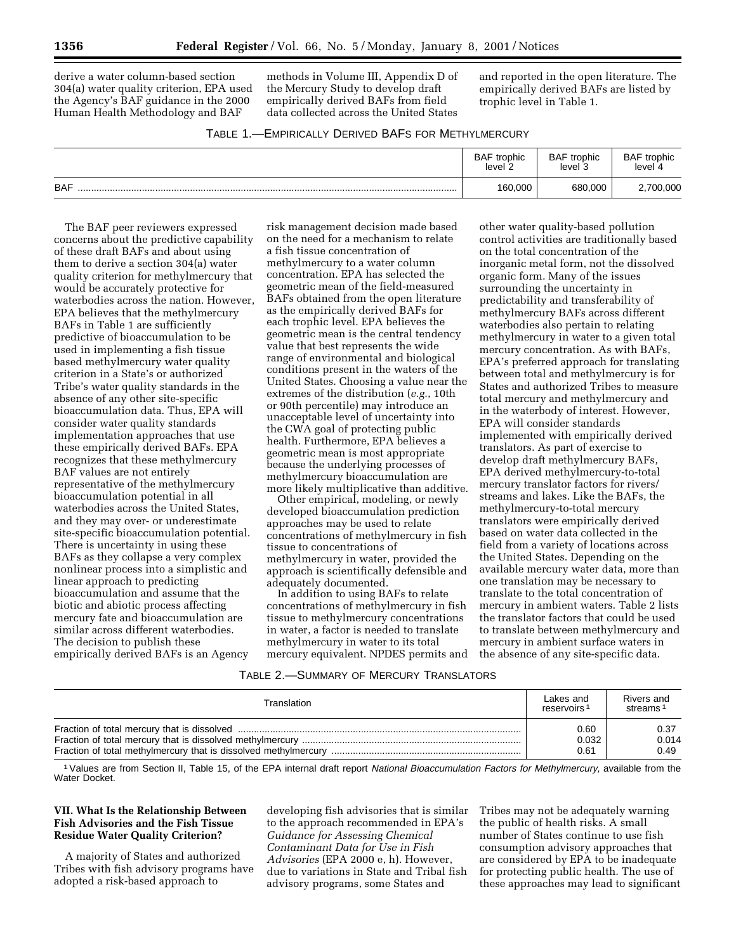derive a water column-based section 304(a) water quality criterion, EPA used the Agency's BAF guidance in the 2000 Human Health Methodology and BAF

methods in Volume III, Appendix D of the Mercury Study to develop draft empirically derived BAFs from field data collected across the United States

and reported in the open literature. The empirically derived BAFs are listed by trophic level in Table 1.

| TABLE 1.-EMPIRICALLY DERIVED BAFS FOR METHYLMERCURY |  |  |  |
|-----------------------------------------------------|--|--|--|
|-----------------------------------------------------|--|--|--|

|            | <b>BAF</b><br>trophic<br>level 2 | <b>BAF</b> trophic<br>level 3 | <b>BAF</b> trophic<br>level |
|------------|----------------------------------|-------------------------------|-----------------------------|
| <b>BAF</b> | 160,000                          | 680.000                       | 2,700,000                   |

The BAF peer reviewers expressed concerns about the predictive capability of these draft BAFs and about using them to derive a section 304(a) water quality criterion for methylmercury that would be accurately protective for waterbodies across the nation. However, EPA believes that the methylmercury BAFs in Table 1 are sufficiently predictive of bioaccumulation to be used in implementing a fish tissue based methylmercury water quality criterion in a State's or authorized Tribe's water quality standards in the absence of any other site-specific bioaccumulation data. Thus, EPA will consider water quality standards implementation approaches that use these empirically derived BAFs. EPA recognizes that these methylmercury BAF values are not entirely representative of the methylmercury bioaccumulation potential in all waterbodies across the United States, and they may over- or underestimate site-specific bioaccumulation potential. There is uncertainty in using these BAFs as they collapse a very complex nonlinear process into a simplistic and linear approach to predicting bioaccumulation and assume that the biotic and abiotic process affecting mercury fate and bioaccumulation are similar across different waterbodies. The decision to publish these empirically derived BAFs is an Agency

risk management decision made based on the need for a mechanism to relate a fish tissue concentration of methylmercury to a water column concentration. EPA has selected the geometric mean of the field-measured BAFs obtained from the open literature as the empirically derived BAFs for each trophic level. EPA believes the geometric mean is the central tendency value that best represents the wide range of environmental and biological conditions present in the waters of the United States. Choosing a value near the extremes of the distribution (*e.g.*, 10th or 90th percentile) may introduce an unacceptable level of uncertainty into the CWA goal of protecting public health. Furthermore, EPA believes a geometric mean is most appropriate because the underlying processes of methylmercury bioaccumulation are more likely multiplicative than additive.

Other empirical, modeling, or newly developed bioaccumulation prediction approaches may be used to relate concentrations of methylmercury in fish tissue to concentrations of methylmercury in water, provided the approach is scientifically defensible and adequately documented.

In addition to using BAFs to relate concentrations of methylmercury in fish tissue to methylmercury concentrations in water, a factor is needed to translate methylmercury in water to its total mercury equivalent. NPDES permits and

other water quality-based pollution control activities are traditionally based on the total concentration of the inorganic metal form, not the dissolved organic form. Many of the issues surrounding the uncertainty in predictability and transferability of methylmercury BAFs across different waterbodies also pertain to relating methylmercury in water to a given total mercury concentration. As with BAFs, EPA's preferred approach for translating between total and methylmercury is for States and authorized Tribes to measure total mercury and methylmercury and in the waterbody of interest. However, EPA will consider standards implemented with empirically derived translators. As part of exercise to develop draft methylmercury BAFs, EPA derived methylmercury-to-total mercury translator factors for rivers/ streams and lakes. Like the BAFs, the methylmercury-to-total mercury translators were empirically derived based on water data collected in the field from a variety of locations across the United States. Depending on the available mercury water data, more than one translation may be necessary to translate to the total concentration of mercury in ambient waters. Table 2 lists the translator factors that could be used to translate between methylmercury and mercury in ambient surface waters in the absence of any site-specific data.

### TABLE 2.—SUMMARY OF MERCURY TRANSLATORS

| Translation | Lakes and<br>reservoirs <sup>1</sup> | Rivers and<br>streams <sup>1</sup> |
|-------------|--------------------------------------|------------------------------------|
|             | 0.60                                 | 0.37                               |
|             | 0.032                                | 0.014                              |
|             | 0.61                                 | 0.49                               |

<sup>1</sup> Values are from Section II, Table 15, of the EPA internal draft report National Bioaccumulation Factors for Methylmercury, available from the Water Docket.

## **VII. What Is the Relationship Between Fish Advisories and the Fish Tissue Residue Water Quality Criterion?**

A majority of States and authorized Tribes with fish advisory programs have adopted a risk-based approach to

developing fish advisories that is similar to the approach recommended in EPA's *Guidance for Assessing Chemical Contaminant Data for Use in Fish Advisories* (EPA 2000 e, h). However, due to variations in State and Tribal fish advisory programs, some States and

Tribes may not be adequately warning the public of health risks. A small number of States continue to use fish consumption advisory approaches that are considered by EPA to be inadequate for protecting public health. The use of these approaches may lead to significant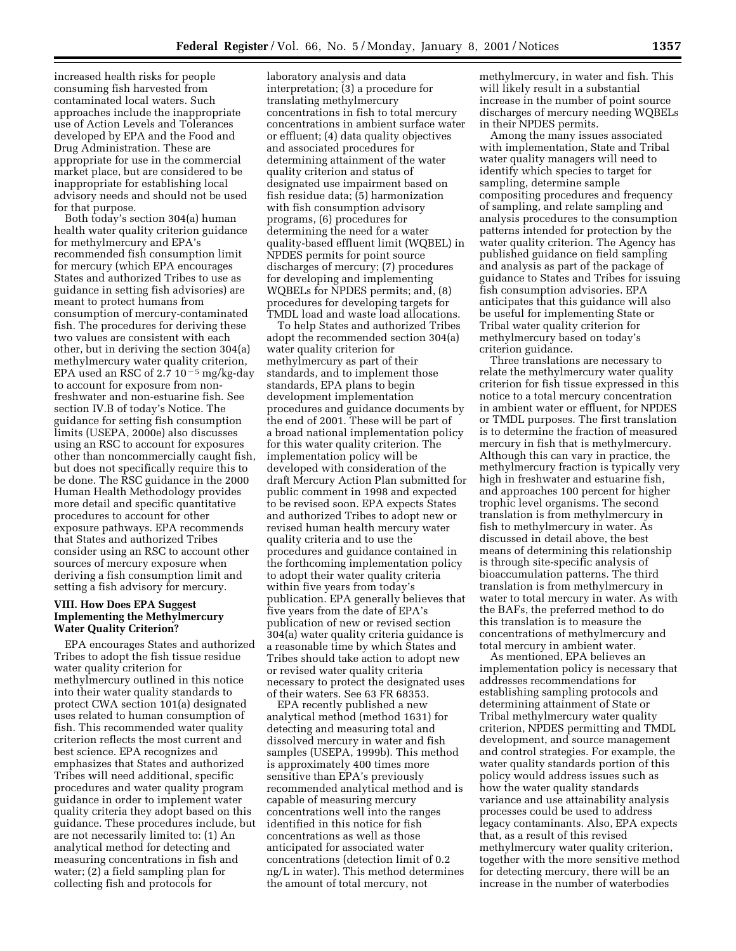increased health risks for people consuming fish harvested from contaminated local waters. Such approaches include the inappropriate use of Action Levels and Tolerances developed by EPA and the Food and Drug Administration. These are appropriate for use in the commercial market place, but are considered to be inappropriate for establishing local advisory needs and should not be used for that purpose.

Both today's section 304(a) human health water quality criterion guidance for methylmercury and EPA's recommended fish consumption limit for mercury (which EPA encourages States and authorized Tribes to use as guidance in setting fish advisories) are meant to protect humans from consumption of mercury-contaminated fish. The procedures for deriving these two values are consistent with each other, but in deriving the section 304(a) methylmercury water quality criterion, EPA used an RSC of 2.7  $10^{-5}$  mg/kg-day to account for exposure from nonfreshwater and non-estuarine fish. See section IV.B of today's Notice. The guidance for setting fish consumption limits (USEPA, 2000e) also discusses using an RSC to account for exposures other than noncommercially caught fish, but does not specifically require this to be done. The RSC guidance in the 2000 Human Health Methodology provides more detail and specific quantitative procedures to account for other exposure pathways. EPA recommends that States and authorized Tribes consider using an RSC to account other sources of mercury exposure when deriving a fish consumption limit and setting a fish advisory for mercury.

### **VIII. How Does EPA Suggest Implementing the Methylmercury Water Quality Criterion?**

EPA encourages States and authorized Tribes to adopt the fish tissue residue water quality criterion for methylmercury outlined in this notice into their water quality standards to protect CWA section 101(a) designated uses related to human consumption of fish. This recommended water quality criterion reflects the most current and best science. EPA recognizes and emphasizes that States and authorized Tribes will need additional, specific procedures and water quality program guidance in order to implement water quality criteria they adopt based on this guidance. These procedures include, but are not necessarily limited to: (1) An analytical method for detecting and measuring concentrations in fish and water; (2) a field sampling plan for collecting fish and protocols for

laboratory analysis and data interpretation; (3) a procedure for translating methylmercury concentrations in fish to total mercury concentrations in ambient surface water or effluent; (4) data quality objectives and associated procedures for determining attainment of the water quality criterion and status of designated use impairment based on fish residue data; (5) harmonization with fish consumption advisory programs, (6) procedures for determining the need for a water quality-based effluent limit (WQBEL) in NPDES permits for point source discharges of mercury; (7) procedures for developing and implementing WQBELs for NPDES permits; and, (8) procedures for developing targets for TMDL load and waste load allocations.

To help States and authorized Tribes adopt the recommended section 304(a) water quality criterion for methylmercury as part of their standards, and to implement those standards, EPA plans to begin development implementation procedures and guidance documents by the end of 2001. These will be part of a broad national implementation policy for this water quality criterion. The implementation policy will be developed with consideration of the draft Mercury Action Plan submitted for public comment in 1998 and expected to be revised soon. EPA expects States and authorized Tribes to adopt new or revised human health mercury water quality criteria and to use the procedures and guidance contained in the forthcoming implementation policy to adopt their water quality criteria within five years from today's publication. EPA generally believes that five years from the date of EPA's publication of new or revised section 304(a) water quality criteria guidance is a reasonable time by which States and Tribes should take action to adopt new or revised water quality criteria necessary to protect the designated uses of their waters. See 63 FR 68353.

EPA recently published a new analytical method (method 1631) for detecting and measuring total and dissolved mercury in water and fish samples (USEPA, 1999b). This method is approximately 400 times more sensitive than EPA's previously recommended analytical method and is capable of measuring mercury concentrations well into the ranges identified in this notice for fish concentrations as well as those anticipated for associated water concentrations (detection limit of 0.2 ng/L in water). This method determines the amount of total mercury, not

methylmercury, in water and fish. This will likely result in a substantial increase in the number of point source discharges of mercury needing WQBELs in their NPDES permits.

Among the many issues associated with implementation, State and Tribal water quality managers will need to identify which species to target for sampling, determine sample compositing procedures and frequency of sampling, and relate sampling and analysis procedures to the consumption patterns intended for protection by the water quality criterion. The Agency has published guidance on field sampling and analysis as part of the package of guidance to States and Tribes for issuing fish consumption advisories. EPA anticipates that this guidance will also be useful for implementing State or Tribal water quality criterion for methylmercury based on today's criterion guidance.

Three translations are necessary to relate the methylmercury water quality criterion for fish tissue expressed in this notice to a total mercury concentration in ambient water or effluent, for NPDES or TMDL purposes. The first translation is to determine the fraction of measured mercury in fish that is methylmercury. Although this can vary in practice, the methylmercury fraction is typically very high in freshwater and estuarine fish, and approaches 100 percent for higher trophic level organisms. The second translation is from methylmercury in fish to methylmercury in water. As discussed in detail above, the best means of determining this relationship is through site-specific analysis of bioaccumulation patterns. The third translation is from methylmercury in water to total mercury in water. As with the BAFs, the preferred method to do this translation is to measure the concentrations of methylmercury and total mercury in ambient water.

As mentioned, EPA believes an implementation policy is necessary that addresses recommendations for establishing sampling protocols and determining attainment of State or Tribal methylmercury water quality criterion, NPDES permitting and TMDL development, and source management and control strategies. For example, the water quality standards portion of this policy would address issues such as how the water quality standards variance and use attainability analysis processes could be used to address legacy contaminants. Also, EPA expects that, as a result of this revised methylmercury water quality criterion, together with the more sensitive method for detecting mercury, there will be an increase in the number of waterbodies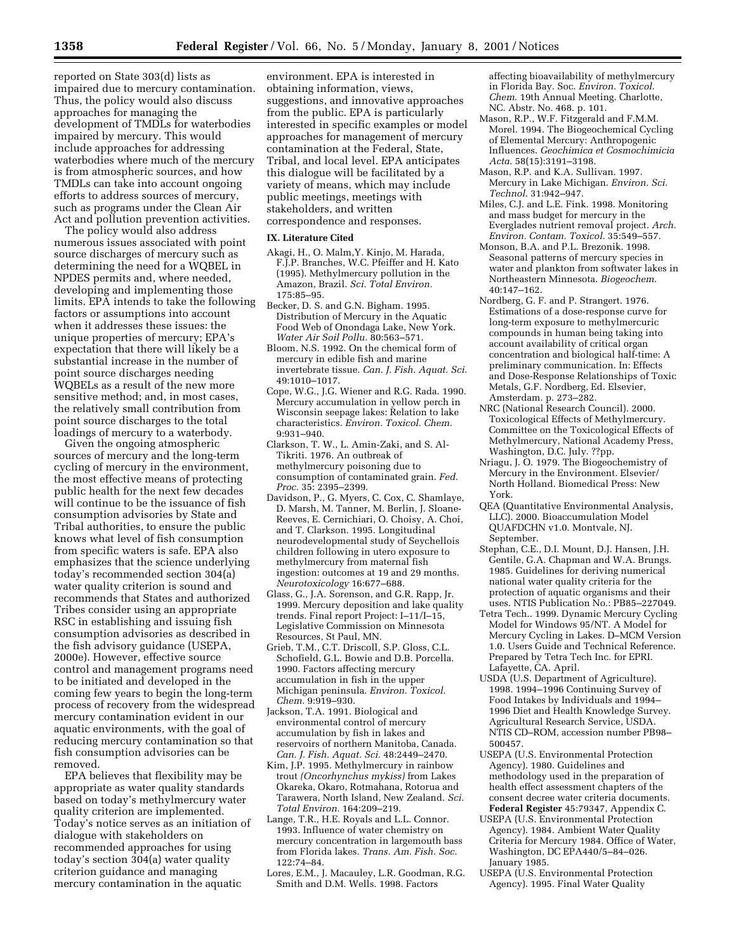reported on State 303(d) lists as impaired due to mercury contamination. Thus, the policy would also discuss approaches for managing the development of TMDLs for waterbodies impaired by mercury. This would include approaches for addressing waterbodies where much of the mercury is from atmospheric sources, and how TMDLs can take into account ongoing efforts to address sources of mercury, such as programs under the Clean Air Act and pollution prevention activities.

The policy would also address numerous issues associated with point source discharges of mercury such as determining the need for a WQBEL in NPDES permits and, where needed, developing and implementing those limits. EPA intends to take the following factors or assumptions into account when it addresses these issues: the unique properties of mercury; EPA's expectation that there will likely be a substantial increase in the number of point source discharges needing WQBELs as a result of the new more sensitive method; and, in most cases, the relatively small contribution from point source discharges to the total loadings of mercury to a waterbody.

Given the ongoing atmospheric sources of mercury and the long-term cycling of mercury in the environment, the most effective means of protecting public health for the next few decades will continue to be the issuance of fish consumption advisories by State and Tribal authorities, to ensure the public knows what level of fish consumption from specific waters is safe. EPA also emphasizes that the science underlying today's recommended section 304(a) water quality criterion is sound and recommends that States and authorized Tribes consider using an appropriate RSC in establishing and issuing fish consumption advisories as described in the fish advisory guidance (USEPA, 2000e). However, effective source control and management programs need to be initiated and developed in the coming few years to begin the long-term process of recovery from the widespread mercury contamination evident in our aquatic environments, with the goal of reducing mercury contamination so that fish consumption advisories can be removed.

EPA believes that flexibility may be appropriate as water quality standards based on today's methylmercury water quality criterion are implemented. Today's notice serves as an initiation of dialogue with stakeholders on recommended approaches for using today's section 304(a) water quality criterion guidance and managing mercury contamination in the aquatic

environment. EPA is interested in obtaining information, views, suggestions, and innovative approaches from the public. EPA is particularly interested in specific examples or model approaches for management of mercury contamination at the Federal, State, Tribal, and local level. EPA anticipates this dialogue will be facilitated by a variety of means, which may include public meetings, meetings with stakeholders, and written correspondence and responses.

#### **IX. Literature Cited**

- Akagi, H., O. Malm,Y. Kinjo, M. Harada, F.J.P. Branches, W.C. Pfeiffer and H. Kato (1995). Methylmercury pollution in the Amazon, Brazil. *Sci. Total Environ.* 175:85–95.
- Becker, D. S. and G.N. Bigham. 1995. Distribution of Mercury in the Aquatic Food Web of Onondaga Lake, New York. *Water Air Soil Pollu.* 80:563–571.
- Bloom, N.S. 1992. On the chemical form of mercury in edible fish and marine invertebrate tissue. *Can. J. Fish. Aquat. Sci.* 49:1010–1017.
- Cope, W.G., J.G. Wiener and R.G. Rada. 1990. Mercury accumulation in yellow perch in Wisconsin seepage lakes: Relation to lake characteristics. *Environ. Toxicol. Chem.* 9:931–940.
- Clarkson, T. W., L. Amin-Zaki, and S. Al-Tikriti. 1976. An outbreak of methylmercury poisoning due to consumption of contaminated grain. *Fed. Proc.* 35: 2395–2399.
- Davidson, P., G. Myers, C. Cox, C. Shamlaye, D. Marsh, M. Tanner, M. Berlin, J. Sloane-Reeves, E. Cernichiari, O. Choisy, A. Choi, and T. Clarkson. 1995. Longitudinal neurodevelopmental study of Seychellois children following in utero exposure to methylmercury from maternal fish ingestion: outcomes at 19 and 29 months. *Neurotoxicology* 16:677–688.
- Glass, G., J.A. Sorenson, and G.R. Rapp, Jr. 1999. Mercury deposition and lake quality trends. Final report Project: I–11/I–15, Legislative Commission on Minnesota Resources, St Paul, MN.
- Grieb, T.M., C.T. Driscoll, S.P. Gloss, C.L. Schofield, G.L. Bowie and D.B. Porcella. 1990. Factors affecting mercury accumulation in fish in the upper Michigan peninsula. *Environ. Toxicol. Chem.* 9:919–930.
- Jackson, T.A. 1991. Biological and environmental control of mercury accumulation by fish in lakes and reservoirs of northern Manitoba, Canada. *Can. J. Fish. Aquat. Sci.* 48:2449–2470.
- Kim, J.P. 1995. Methylmercury in rainbow trout *(Oncorhynchus mykiss)* from Lakes Okareka, Okaro, Rotmahana, Rotorua and Tarawera, North Island, New Zealand. *Sci. Total Environ.* 164:209–219.
- Lange, T.R., H.E. Royals and L.L. Connor. 1993. Influence of water chemistry on mercury concentration in largemouth bass from Florida lakes. *Trans. Am. Fish. Soc*. 122:74–84.
- Lores, E.M., J. Macauley, L.R. Goodman, R.G. Smith and D.M. Wells. 1998. Factors

affecting bioavailability of methylmercury in Florida Bay. Soc. *Environ. Toxicol. Chem*. 19th Annual Meeting. Charlotte, NC. Abstr. No. 468. p. 101.

- Mason, R.P., W.F. Fitzgerald and F.M.M. Morel. 1994. The Biogeochemical Cycling of Elemental Mercury: Anthropogenic Influences. *Geochimica et Cosmochimicia Acta*. 58(15):3191–3198.
- Mason, R.P. and K.A. Sullivan. 1997. Mercury in Lake Michigan. *Environ. Sci. Technol*. 31:942–947.
- Miles, C.J. and L.E. Fink. 1998. Monitoring and mass budget for mercury in the Everglades nutrient removal project. *Arch. Environ. Contam. Toxicol.* 35:549–557.
- Monson, B.A. and P.L. Brezonik. 1998. Seasonal patterns of mercury species in water and plankton from softwater lakes in Northeastern Minnesota. *Biogeochem*. 40:147–162.
- Nordberg, G. F. and P. Strangert. 1976. Estimations of a dose-response curve for long-term exposure to methylmercuric compounds in human being taking into account availability of critical organ concentration and biological half-time: A preliminary communication. In: Effects and Dose-Response Relationships of Toxic Metals, G.F. Nordberg, Ed. Elsevier, Amsterdam. p. 273–282.
- NRC (National Research Council). 2000. Toxicological Effects of Methylmercury. Committee on the Toxicological Effects of Methylmercury, National Academy Press, Washington, D.C. July. ??pp.
- Nriagu, J. O. 1979. The Biogeochemistry of Mercury in the Environment. Elsevier/ North Holland. Biomedical Press: New York.
- QEA (Quantitative Environmental Analysis, LLC). 2000. Bioaccumulation Model QUAFDCHN v1.0. Montvale, NJ. September.
- Stephan, C.E., D.I. Mount, D.J. Hansen, J.H. Gentile, G.A. Chapman and W.A. Brungs. 1985. Guidelines for deriving numerical national water quality criteria for the protection of aquatic organisms and their uses. NTIS Publication No.: PB85–227049.
- Tetra Tech.. 1999. Dynamic Mercury Cycling Model for Windows 95/NT. A Model for Mercury Cycling in Lakes. D–MCM Version 1.0. Users Guide and Technical Reference. Prepared by Tetra Tech Inc. for EPRI. Lafayette, CA. April.
- USDA (U.S. Department of Agriculture). 1998. 1994–1996 Continuing Survey of Food Intakes by Individuals and 1994– 1996 Diet and Health Knowledge Survey. Agricultural Research Service, USDA. NTIS CD–ROM, accession number PB98– 500457.
- USEPA (U.S. Environmental Protection Agency). 1980. Guidelines and methodology used in the preparation of health effect assessment chapters of the consent decree water criteria documents. **Federal Register** 45:79347, Appendix C.
- USEPA (U.S. Environmental Protection Agency). 1984. Ambient Water Quality Criteria for Mercury 1984. Office of Water, Washington, DC EPA440/5–84–026. January 1985.
- USEPA (U.S. Environmental Protection Agency). 1995. Final Water Quality